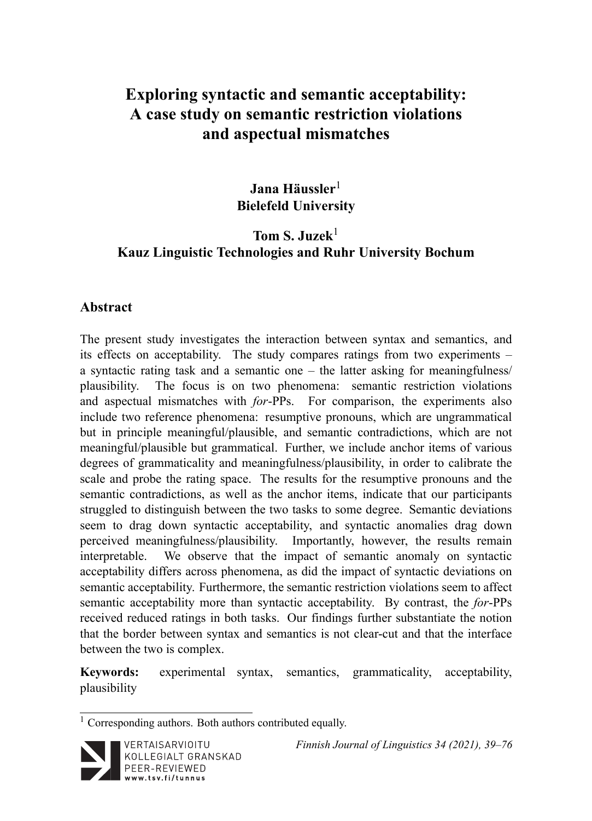# **Exploring syntactic and semantic acceptability: A case study on semantic restriction violations and aspectual mismatches**

# **Jana Häussler**<sup>1</sup> **Bielefeld University**

# **Tom S. Juzek**<sup>1</sup> **Kauz Linguistic Technologies and Ruhr University Bochum**

#### **Abstract**

The present study investigates the interaction between syntax and semantics, and its effects on acceptability. The study compares ratings from two experiments – a syntactic rating task and a semantic one – the latter asking for meaningfulness/ plausibility. The focus is on two phenomena: semantic restriction violations and aspectual mismatches with *for*-PPs. For comparison, the experiments also include two reference phenomena: resumptive pronouns, which are ungrammatical but in principle meaningful/plausible, and semantic contradictions, which are not meaningful/plausible but grammatical. Further, we include anchor items of various degrees of grammaticality and meaningfulness/plausibility, in order to calibrate the scale and probe the rating space. The results for the resumptive pronouns and the semantic contradictions, as well as the anchor items, indicate that our participants struggled to distinguish between the two tasks to some degree. Semantic deviations seem to drag down syntactic acceptability, and syntactic anomalies drag down perceived meaningfulness/plausibility. Importantly, however, the results remain interpretable. We observe that the impact of semantic anomaly on syntactic acceptability differs across phenomena, as did the impact of syntactic deviations on semantic acceptability. Furthermore, the semantic restriction violations seem to affect semantic acceptability more than syntactic acceptability. By contrast, the *for*-PPs received reduced ratings in both tasks. Our findings further substantiate the notion that the border between syntax and semantics is not clear-cut and that the interface between the two is complex.

**Keywords:** experimental syntax, semantics, grammaticality, acceptability, plausibility

<sup>&</sup>lt;sup>1</sup> Corresponding authors. Both authors contributed equally.



*Finnish Journal of Linguistics 34 (2021), 39–76*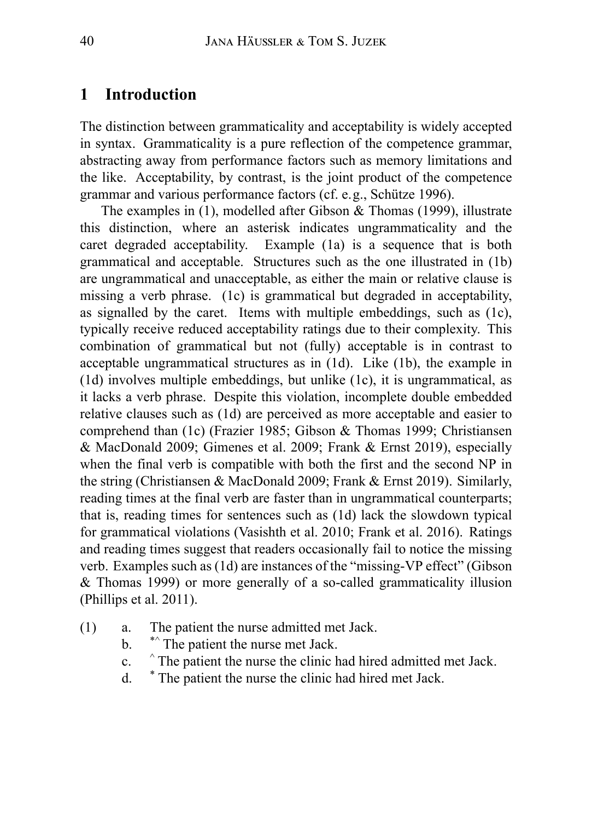## **1 Introduction**

The distinction between grammaticality and acceptability is widely accepted in syntax. Grammaticality is a pure reflection of the competence grammar, abstracting away from performance factors such as memory limitations and the like. Acceptability, by contrast, is the joint product of the competence grammar and various performance factors (cf. e.g., Schütze 1996).

The examples in (1), modelled after Gibson & Thomas (1999), illustrate this distinction, where an asterisk indicates ungrammaticality and the caret degraded acceptability. Example (1a) is a sequence that is both grammatical and acceptable. Structures such as the one illustrated in (1b) are ungrammatical and unacceptable, as either the main or relative clause is missing a verb phrase. (1c) is grammatical but degraded in acceptability, as signalled by the caret. Items with multiple embeddings, such as (1c), typically receive reduced acceptability ratings due to their complexity. This combination of grammatical but not (fully) acceptable is in contrast to acceptable ungrammatical structures as in (1d). Like (1b), the example in (1d) involves multiple embeddings, but unlike (1c), it is ungrammatical, as it lacks a verb phrase. Despite this violation, incomplete double embedded relative clauses such as (1d) are perceived as more acceptable and easier to comprehend than (1c) (Frazier 1985; Gibson & Thomas 1999; Christiansen & MacDonald 2009; Gimenes et al. 2009; Frank & Ernst 2019), especially when the final verb is compatible with both the first and the second NP in the string (Christiansen & MacDonald 2009; Frank & Ernst 2019). Similarly, reading times at the final verb are faster than in ungrammatical counterparts; that is, reading times for sentences such as (1d) lack the slowdown typical for grammatical violations (Vasishth et al. 2010; Frank et al. 2016). Ratings and reading times suggest that readers occasionally fail to notice the missing verb. Examples such as (1d) are instances of the "missing-VP effect" (Gibson & Thomas 1999) or more generally of a so-called grammaticality illusion (Phillips et al. 2011).

- (1) a. The patient the nurse admitted met Jack.
	- b. \*\*^ The patient the nurse met Jack.
	- c. ^ The patient the nurse the clinic had hired admitted met Jack.
	- d. \* The patient the nurse the clinic had hired met Jack.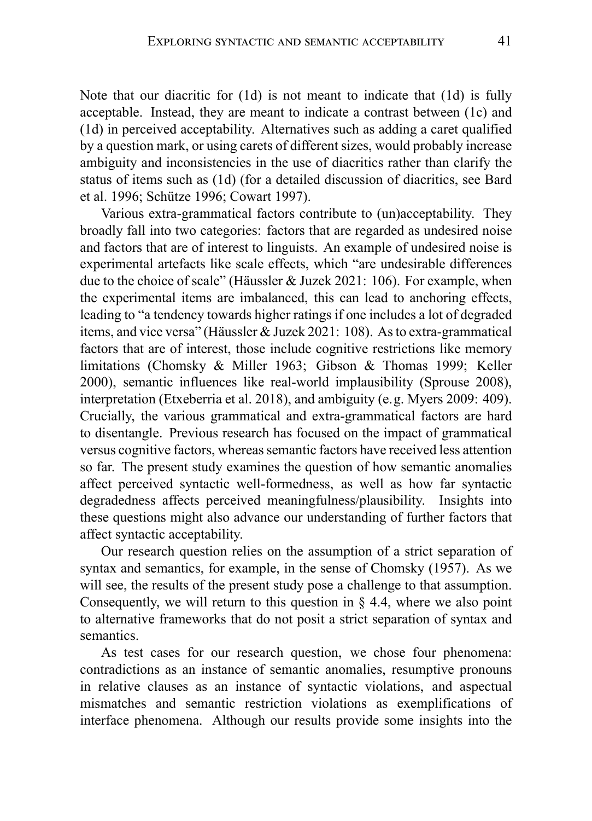Note that our diacritic for (1d) is not meant to indicate that (1d) is fully acceptable. Instead, they are meant to indicate a contrast between (1c) and (1d) in perceived acceptability. Alternatives such as adding a caret qualified by a question mark, or using carets of different sizes, would probably increase ambiguity and inconsistencies in the use of diacritics rather than clarify the status of items such as (1d) (for a detailed discussion of diacritics, see Bard et al. 1996; Schütze 1996; Cowart 1997).

Various extra-grammatical factors contribute to (un)acceptability. They broadly fall into two categories: factors that are regarded as undesired noise and factors that are of interest to linguists. An example of undesired noise is experimental artefacts like scale effects, which "are undesirable differences due to the choice of scale" (Häussler & Juzek 2021: 106). For example, when the experimental items are imbalanced, this can lead to anchoring effects, leading to "a tendency towards higher ratings if one includes a lot of degraded items, and vice versa" (Häussler & Juzek 2021: 108). As to extra-grammatical factors that are of interest, those include cognitive restrictions like memory limitations (Chomsky & Miller 1963; Gibson & Thomas 1999; Keller 2000), semantic influences like real-world implausibility (Sprouse 2008), interpretation (Etxeberria et al. 2018), and ambiguity (e.g. Myers 2009: 409). Crucially, the various grammatical and extra-grammatical factors are hard to disentangle. Previous research has focused on the impact of grammatical versus cognitive factors, whereas semantic factors have received less attention so far. The present study examines the question of how semantic anomalies affect perceived syntactic well-formedness, as well as how far syntactic degradedness affects perceived meaningfulness/plausibility. Insights into these questions might also advance our understanding of further factors that affect syntactic acceptability.

Our research question relies on the assumption of a strict separation of syntax and semantics, for example, in the sense of Chomsky (1957). As we will see, the results of the present study pose a challenge to that assumption. Consequently, we will return to this question in  $\S$  4.4, where we also point to alternative frameworks that do not posit a strict separation of syntax and semantics.

As test cases for our research question, we chose four phenomena: contradictions as an instance of semantic anomalies, resumptive pronouns in relative clauses as an instance of syntactic violations, and aspectual mismatches and semantic restriction violations as exemplifications of interface phenomena. Although our results provide some insights into the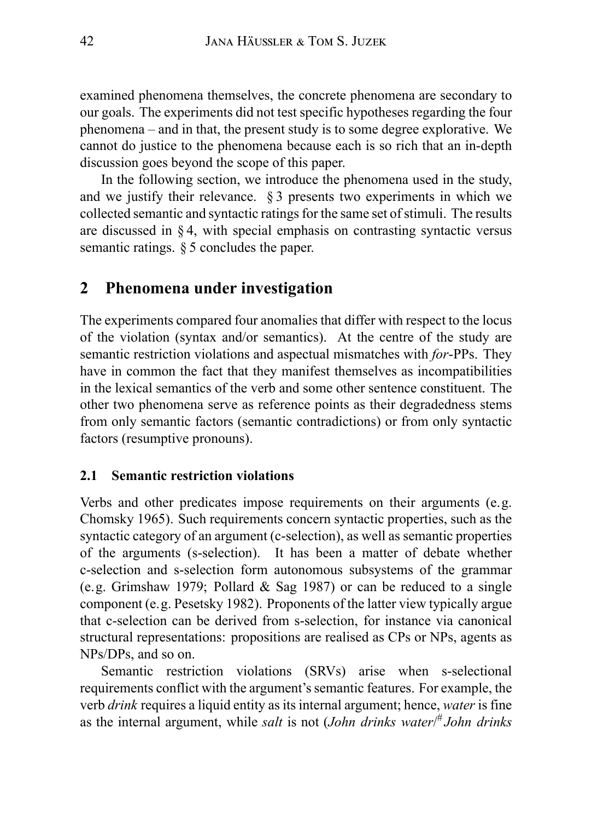examined phenomena themselves, the concrete phenomena are secondary to our goals. The experiments did not test specific hypotheses regarding the four phenomena – and in that, the present study is to some degree explorative. We cannot do justice to the phenomena because each is so rich that an in-depth discussion goes beyond the scope of this paper.

In the following section, we introduce the phenomena used in the study, and we justify their relevance. § 3 presents two experiments in which we collected semantic and syntactic ratings for the same set of stimuli. The results are discussed in  $\S 4$ , with special emphasis on contrasting syntactic versus semantic ratings. § 5 concludes the paper.

### **2 Phenomena under investigation**

The experiments compared four anomalies that differ with respect to the locus of the violation (syntax and/or semantics). At the centre of the study are semantic restriction violations and aspectual mismatches with *for*-PPs. They have in common the fact that they manifest themselves as incompatibilities in the lexical semantics of the verb and some other sentence constituent. The other two phenomena serve as reference points as their degradedness stems from only semantic factors (semantic contradictions) or from only syntactic factors (resumptive pronouns).

#### **2.1 Semantic restriction violations**

Verbs and other predicates impose requirements on their arguments (e.g. Chomsky 1965). Such requirements concern syntactic properties, such as the syntactic category of an argument (c-selection), as well as semantic properties of the arguments (s-selection). It has been a matter of debate whether c-selection and s-selection form autonomous subsystems of the grammar (e.g. Grimshaw 1979; Pollard & Sag 1987) or can be reduced to a single component (e.g. Pesetsky 1982). Proponents of the latter view typically argue that c-selection can be derived from s-selection, for instance via canonical structural representations: propositions are realised as CPs or NPs, agents as NPs/DPs, and so on.

Semantic restriction violations (SRVs) arise when s-selectional requirements conflict with the argument's semantic features. For example, the verb *drink* requires a liquid entity as its internal argument; hence, *water* is fine as the internal argument, while *salt* is not (*John drinks water*/ # *John drinks*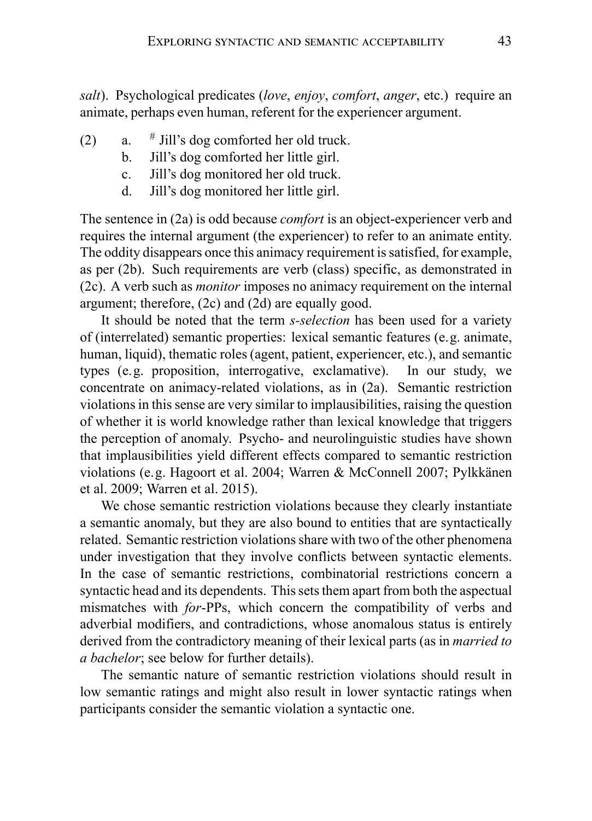*salt*). Psychological predicates (*love*, *enjoy*, *comfort*, *anger*, etc.) require an animate, perhaps even human, referent for the experiencer argument.

- $(2)$  a.  $#$  Jill's dog comforted her old truck.
	- b. Jill's dog comforted her little girl.
	- c. Jill's dog monitored her old truck.
	- d. Jill's dog monitored her little girl.

The sentence in (2a) is odd because *comfort* is an object-experiencer verb and requires the internal argument (the experiencer) to refer to an animate entity. The oddity disappears once this animacy requirement is satisfied, for example, as per (2b). Such requirements are verb (class) specific, as demonstrated in (2c). A verb such as *monitor* imposes no animacy requirement on the internal argument; therefore, (2c) and (2d) are equally good.

It should be noted that the term *s-selection* has been used for a variety of (interrelated) semantic properties: lexical semantic features (e.g. animate, human, liquid), thematic roles (agent, patient, experiencer, etc.), and semantic types (e.g. proposition, interrogative, exclamative). In our study, we concentrate on animacy-related violations, as in (2a). Semantic restriction violations in this sense are very similar to implausibilities, raising the question of whether it is world knowledge rather than lexical knowledge that triggers the perception of anomaly. Psycho- and neurolinguistic studies have shown that implausibilities yield different effects compared to semantic restriction violations (e.g. Hagoort et al. 2004; Warren & McConnell 2007; Pylkkänen et al. 2009; Warren et al. 2015).

We chose semantic restriction violations because they clearly instantiate a semantic anomaly, but they are also bound to entities that are syntactically related. Semantic restriction violations share with two of the other phenomena under investigation that they involve conflicts between syntactic elements. In the case of semantic restrictions, combinatorial restrictions concern a syntactic head and its dependents. This sets them apart from both the aspectual mismatches with *for*-PPs, which concern the compatibility of verbs and adverbial modifiers, and contradictions, whose anomalous status is entirely derived from the contradictory meaning of their lexical parts (as in *married to a bachelor*; see below for further details).

The semantic nature of semantic restriction violations should result in low semantic ratings and might also result in lower syntactic ratings when participants consider the semantic violation a syntactic one.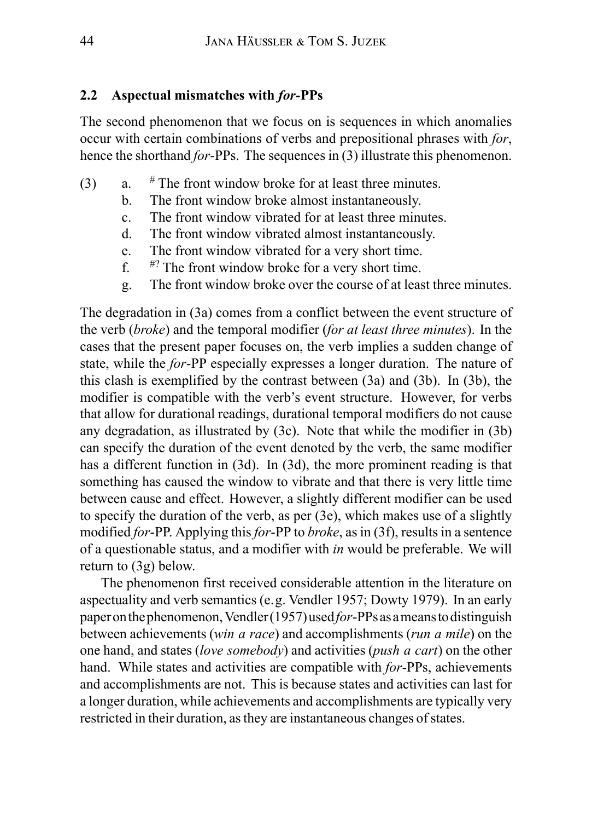#### **2.2 Aspectual mismatches with** *for***-PPs**

The second phenomenon that we focus on is sequences in which anomalies occur with certain combinations of verbs and prepositional phrases with *for*, hence the shorthand *for*-PPs. The sequences in (3) illustrate this phenomenon.

- (3) a.  $\#$  The front window broke for at least three minutes.
	- b. The front window broke almost instantaneously.
	- c. The front window vibrated for at least three minutes.
	- d. The front window vibrated almost instantaneously.
	- e. The front window vibrated for a very short time.<br> $f^{\#?}$  The front window broke for a very short time.
	- $\sharp$ ? The front window broke for a very short time.
	- g. The front window broke over the course of at least three minutes.

The degradation in (3a) comes from a conflict between the event structure of the verb (*broke*) and the temporal modifier (*for at least three minutes*). In the cases that the present paper focuses on, the verb implies a sudden change of state, while the *for*-PP especially expresses a longer duration. The nature of this clash is exemplified by the contrast between (3a) and (3b). In (3b), the modifier is compatible with the verb's event structure. However, for verbs that allow for durational readings, durational temporal modifiers do not cause any degradation, as illustrated by (3c). Note that while the modifier in (3b) can specify the duration of the event denoted by the verb, the same modifier has a different function in (3d). In (3d), the more prominent reading is that something has caused the window to vibrate and that there is very little time between cause and effect. However, a slightly different modifier can be used to specify the duration of the verb, as per (3e), which makes use of a slightly modified *for*-PP. Applying this *for*-PP to *broke*, as in (3f), results in a sentence of a questionable status, and a modifier with *in* would be preferable. We will return to (3g) below.

The phenomenon first received considerable attention in the literature on aspectuality and verb semantics (e.g. Vendler 1957; Dowty 1979). In an early paper onthe phenomenon,Vendler (1957) used*for*-PPsasameansto distinguish between achievements (*win a race*) and accomplishments (*run a mile*) on the one hand, and states (*love somebody*) and activities (*push a cart*) on the other hand. While states and activities are compatible with *for*-PPs, achievements and accomplishments are not. This is because states and activities can last for a longer duration, while achievements and accomplishments are typically very restricted in their duration, as they are instantaneous changes of states.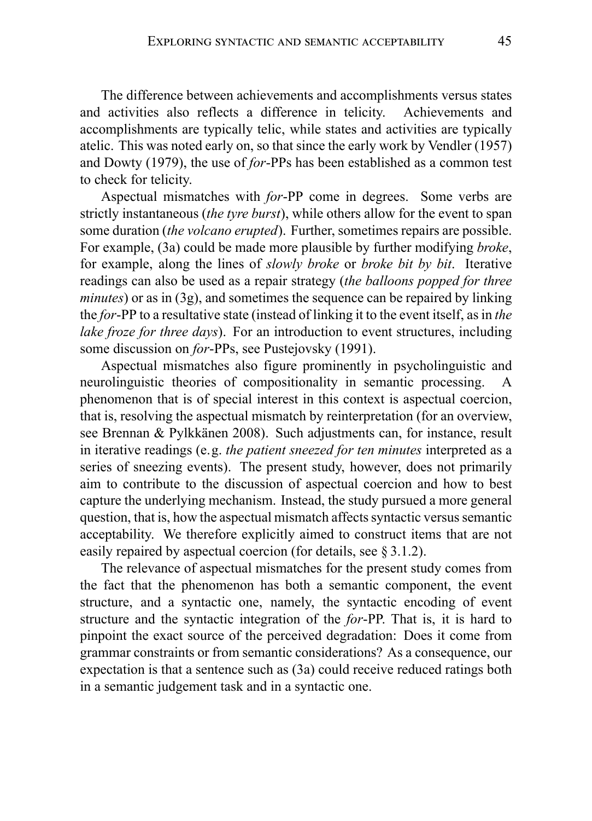The difference between achievements and accomplishments versus states and activities also reflects a difference in telicity. Achievements and accomplishments are typically telic, while states and activities are typically atelic. This was noted early on, so that since the early work by Vendler (1957) and Dowty (1979), the use of *for*-PPs has been established as a common test to check for telicity.

Aspectual mismatches with *for*-PP come in degrees. Some verbs are strictly instantaneous (*the tyre burst*), while others allow for the event to span some duration (*the volcano erupted*). Further, sometimes repairs are possible. For example, (3a) could be made more plausible by further modifying *broke*, for example, along the lines of *slowly broke* or *broke bit by bit*. Iterative readings can also be used as a repair strategy (*the balloons popped for three minutes*) or as in (3g), and sometimes the sequence can be repaired by linking the *for*-PP to a resultative state (instead of linking it to the event itself, as in *the lake froze for three days*). For an introduction to event structures, including some discussion on *for*-PPs, see Pustejovsky (1991).

Aspectual mismatches also figure prominently in psycholinguistic and neurolinguistic theories of compositionality in semantic processing. A phenomenon that is of special interest in this context is aspectual coercion, that is, resolving the aspectual mismatch by reinterpretation (for an overview, see Brennan & Pylkkänen 2008). Such adjustments can, for instance, result in iterative readings (e.g. *the patient sneezed for ten minutes* interpreted as a series of sneezing events). The present study, however, does not primarily aim to contribute to the discussion of aspectual coercion and how to best capture the underlying mechanism. Instead, the study pursued a more general question, that is, how the aspectual mismatch affects syntactic versus semantic acceptability. We therefore explicitly aimed to construct items that are not easily repaired by aspectual coercion (for details, see § 3.1.2).

The relevance of aspectual mismatches for the present study comes from the fact that the phenomenon has both a semantic component, the event structure, and a syntactic one, namely, the syntactic encoding of event structure and the syntactic integration of the *for*-PP. That is, it is hard to pinpoint the exact source of the perceived degradation: Does it come from grammar constraints or from semantic considerations? As a consequence, our expectation is that a sentence such as (3a) could receive reduced ratings both in a semantic judgement task and in a syntactic one.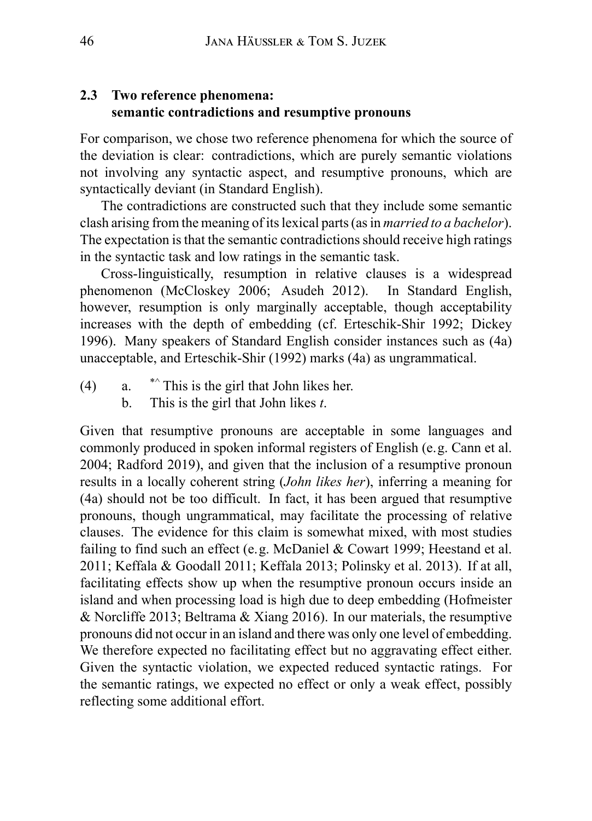#### **2.3 Two reference phenomena: semantic contradictions and resumptive pronouns**

For comparison, we chose two reference phenomena for which the source of the deviation is clear: contradictions, which are purely semantic violations not involving any syntactic aspect, and resumptive pronouns, which are syntactically deviant (in Standard English).

The contradictions are constructed such that they include some semantic clash arising from the meaning of its lexical parts (as in *married to a bachelor*). The expectation is that the semantic contradictions should receive high ratings in the syntactic task and low ratings in the semantic task.

Cross-linguistically, resumption in relative clauses is a widespread phenomenon (McCloskey 2006; Asudeh 2012). In Standard English, however, resumption is only marginally acceptable, though acceptability increases with the depth of embedding (cf. Erteschik-Shir 1992; Dickey 1996). Many speakers of Standard English consider instances such as (4a) unacceptable, and Erteschik-Shir (1992) marks (4a) as ungrammatical.

- (4)  $a.$  \*^ This is the girl that John likes her.
	- b. This is the girl that John likes *t*.

Given that resumptive pronouns are acceptable in some languages and commonly produced in spoken informal registers of English (e.g. Cann et al. 2004; Radford 2019), and given that the inclusion of a resumptive pronoun results in a locally coherent string (*John likes her*), inferring a meaning for (4a) should not be too difficult. In fact, it has been argued that resumptive pronouns, though ungrammatical, may facilitate the processing of relative clauses. The evidence for this claim is somewhat mixed, with most studies failing to find such an effect (e.g. McDaniel & Cowart 1999; Heestand et al. 2011; Keffala & Goodall 2011; Keffala 2013; Polinsky et al. 2013). If at all, facilitating effects show up when the resumptive pronoun occurs inside an island and when processing load is high due to deep embedding (Hofmeister & Norcliffe 2013; Beltrama & Xiang 2016). In our materials, the resumptive pronouns did not occur in an island and there was only one level of embedding. We therefore expected no facilitating effect but no aggravating effect either. Given the syntactic violation, we expected reduced syntactic ratings. For the semantic ratings, we expected no effect or only a weak effect, possibly reflecting some additional effort.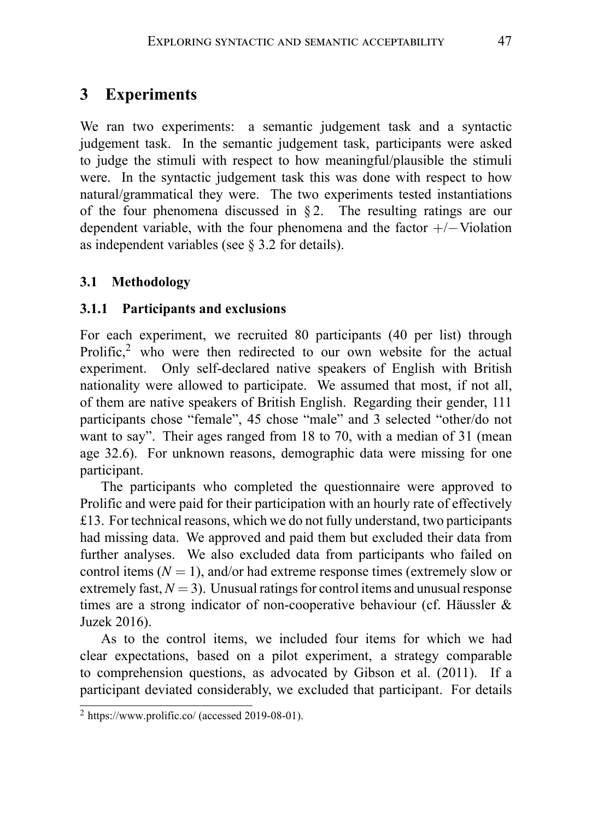# **3 Experiments**

We ran two experiments: a semantic judgement task and a syntactic judgement task. In the semantic judgement task, participants were asked to judge the stimuli with respect to how meaningful/plausible the stimuli were. In the syntactic judgement task this was done with respect to how natural/grammatical they were. The two experiments tested instantiations of the four phenomena discussed in  $\S 2$ . The resulting ratings are our dependent variable, with the four phenomena and the factor +/*−*Violation as independent variables (see § 3.2 for details).

# **3.1 Methodology**

### **3.1.1 Participants and exclusions**

For each experiment, we recruited 80 participants (40 per list) through Prolific, $<sup>2</sup>$  who were then redirected to our own website for the actual</sup> experiment. Only self-declared native speakers of English with British nationality were allowed to participate. We assumed that most, if not all, of them are native speakers of British English. Regarding their gender, 111 participants chose "female", 45 chose "male" and 3 selected "other/do not want to say". Their ages ranged from 18 to 70, with a median of 31 (mean age 32.6). For unknown reasons, demographic data were missing for one participant.

The participants who completed the questionnaire were approved to Prolific and were paid for their participation with an hourly rate of effectively £13. For technical reasons, which we do not fully understand, two participants had missing data. We approved and paid them but excluded their data from further analyses. We also excluded data from participants who failed on control items  $(N = 1)$ , and/or had extreme response times (extremely slow or extremely fast,  $N = 3$ ). Unusual ratings for control items and unusual response times are a strong indicator of non-cooperative behaviour (cf. Häussler & Juzek 2016).

As to the control items, we included four items for which we had clear expectations, based on a pilot experiment, a strategy comparable to comprehension questions, as advocated by Gibson et al. (2011). If a participant deviated considerably, we excluded that participant. For details

 $2$  https://www.prolific.co/ (accessed 2019-08-01).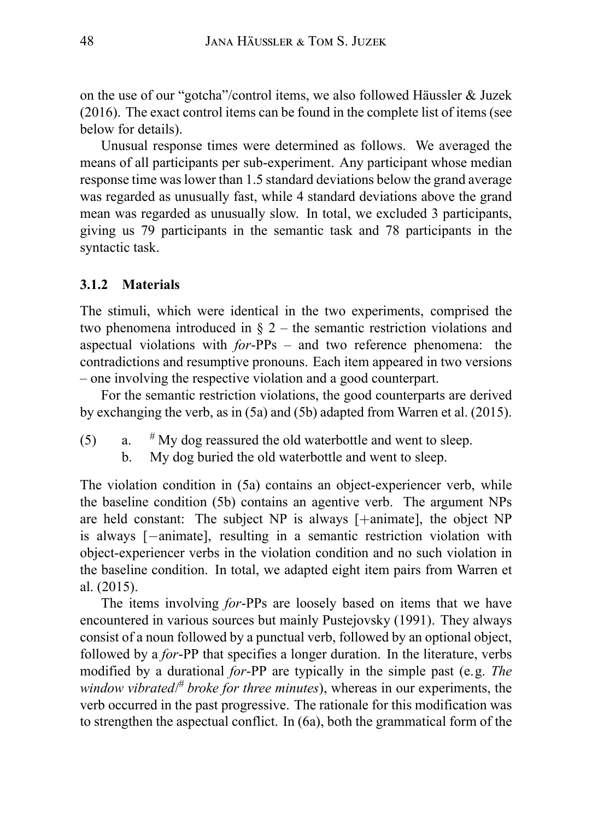on the use of our "gotcha"/control items, we also followed Häussler & Juzek (2016). The exact control items can be found in the complete list of items (see below for details).

Unusual response times were determined as follows. We averaged the means of all participants per sub-experiment. Any participant whose median response time was lower than 1.5 standard deviations below the grand average was regarded as unusually fast, while 4 standard deviations above the grand mean was regarded as unusually slow. In total, we excluded 3 participants, giving us 79 participants in the semantic task and 78 participants in the syntactic task.

#### **3.1.2 Materials**

The stimuli, which were identical in the two experiments, comprised the two phenomena introduced in  $\S$  2 – the semantic restriction violations and aspectual violations with *for*-PPs – and two reference phenomena: the contradictions and resumptive pronouns. Each item appeared in two versions – one involving the respective violation and a good counterpart.

For the semantic restriction violations, the good counterparts are derived by exchanging the verb, as in (5a) and (5b) adapted from Warren et al. (2015).

- (5) a.  $\#$  My dog reassured the old waterbottle and went to sleep.
	- b. My dog buried the old waterbottle and went to sleep.

The violation condition in (5a) contains an object-experiencer verb, while the baseline condition (5b) contains an agentive verb. The argument NPs are held constant: The subject NP is always [+animate], the object NP is always [*−*animate], resulting in a semantic restriction violation with object-experiencer verbs in the violation condition and no such violation in the baseline condition. In total, we adapted eight item pairs from Warren et al. (2015).

The items involving *for*-PPs are loosely based on items that we have encountered in various sources but mainly Pustejovsky (1991). They always consist of a noun followed by a punctual verb, followed by an optional object, followed by a *for*-PP that specifies a longer duration. In the literature, verbs modified by a durational *for*-PP are typically in the simple past (e.g. *The window vibrated*/ # *broke for three minutes*), whereas in our experiments, the verb occurred in the past progressive. The rationale for this modification was to strengthen the aspectual conflict. In (6a), both the grammatical form of the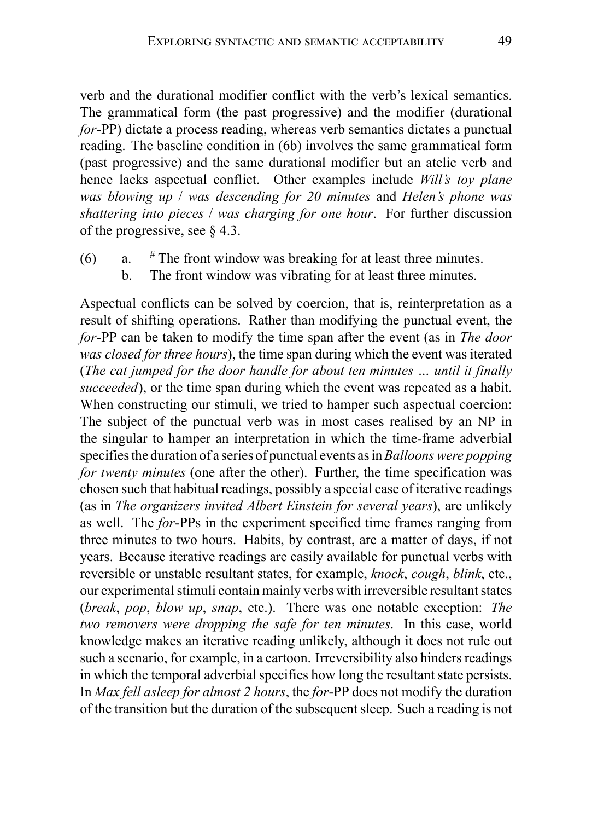verb and the durational modifier conflict with the verb's lexical semantics. The grammatical form (the past progressive) and the modifier (durational *for*-PP) dictate a process reading, whereas verb semantics dictates a punctual reading. The baseline condition in (6b) involves the same grammatical form (past progressive) and the same durational modifier but an atelic verb and hence lacks aspectual conflict. Other examples include *Will's toy plane was blowing up* / *was descending for 20 minutes* and *Helen's phone was shattering into pieces* / *was charging for one hour*. For further discussion of the progressive, see § 4.3.

- (6) a.  $\#$  The front window was breaking for at least three minutes.
	- b. The front window was vibrating for at least three minutes.

Aspectual conflicts can be solved by coercion, that is, reinterpretation as a result of shifting operations. Rather than modifying the punctual event, the *for*-PP can be taken to modify the time span after the event (as in *The door was closed for three hours*), the time span during which the event was iterated (*The cat jumped for the door handle for about ten minutes … until it finally succeeded*), or the time span during which the event was repeated as a habit. When constructing our stimuli, we tried to hamper such aspectual coercion: The subject of the punctual verb was in most cases realised by an NP in the singular to hamper an interpretation in which the time-frame adverbial specifies the duration of a series of punctual events as in*Balloons were popping for twenty minutes* (one after the other). Further, the time specification was chosen such that habitual readings, possibly a special case of iterative readings (as in *The organizers invited Albert Einstein for several years*), are unlikely as well. The *for*-PPs in the experiment specified time frames ranging from three minutes to two hours. Habits, by contrast, are a matter of days, if not years. Because iterative readings are easily available for punctual verbs with reversible or unstable resultant states, for example, *knock*, *cough*, *blink*, etc., our experimental stimuli contain mainly verbs with irreversible resultant states (*break*, *pop*, *blow up*, *snap*, etc.). There was one notable exception: *The two removers were dropping the safe for ten minutes*. In this case, world knowledge makes an iterative reading unlikely, although it does not rule out such a scenario, for example, in a cartoon. Irreversibility also hinders readings in which the temporal adverbial specifies how long the resultant state persists. In *Max fell asleep for almost 2 hours*, the *for*-PP does not modify the duration of the transition but the duration of the subsequent sleep. Such a reading is not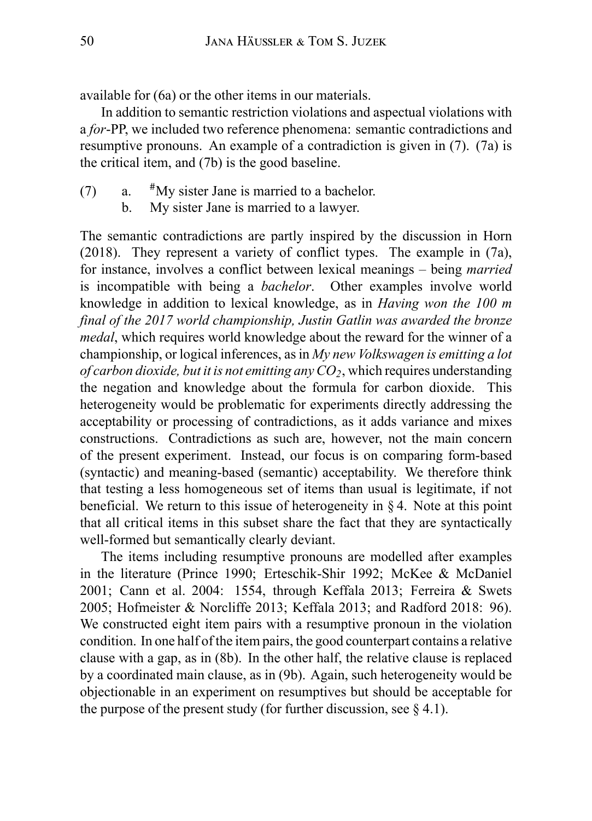available for (6a) or the other items in our materials.

In addition to semantic restriction violations and aspectual violations with a *for*-PP, we included two reference phenomena: semantic contradictions and resumptive pronouns. An example of a contradiction is given in (7). (7a) is the critical item, and (7b) is the good baseline.

- (7) a. #My sister Jane is married to a bachelor.
	- b. My sister Jane is married to a lawyer.

The semantic contradictions are partly inspired by the discussion in Horn (2018). They represent a variety of conflict types. The example in (7a), for instance, involves a conflict between lexical meanings – being *married* is incompatible with being a *bachelor*. Other examples involve world knowledge in addition to lexical knowledge, as in *Having won the 100 m final of the 2017 world championship, Justin Gatlin was awarded the bronze medal*, which requires world knowledge about the reward for the winner of a championship, or logical inferences, as in *My new Volkswagen is emitting a lot of carbon dioxide, but it is not emitting any*  $CO_2$ *, which requires understanding* the negation and knowledge about the formula for carbon dioxide. This heterogeneity would be problematic for experiments directly addressing the acceptability or processing of contradictions, as it adds variance and mixes constructions. Contradictions as such are, however, not the main concern of the present experiment. Instead, our focus is on comparing form-based (syntactic) and meaning-based (semantic) acceptability. We therefore think that testing a less homogeneous set of items than usual is legitimate, if not beneficial. We return to this issue of heterogeneity in § 4. Note at this point that all critical items in this subset share the fact that they are syntactically well-formed but semantically clearly deviant.

The items including resumptive pronouns are modelled after examples in the literature (Prince 1990; Erteschik-Shir 1992; McKee & McDaniel 2001; Cann et al. 2004: 1554, through Keffala 2013; Ferreira & Swets 2005; Hofmeister & Norcliffe 2013; Keffala 2013; and Radford 2018: 96). We constructed eight item pairs with a resumptive pronoun in the violation condition. In one half of the item pairs, the good counterpart contains a relative clause with a gap, as in (8b). In the other half, the relative clause is replaced by a coordinated main clause, as in (9b). Again, such heterogeneity would be objectionable in an experiment on resumptives but should be acceptable for the purpose of the present study (for further discussion, see  $\S$  4.1).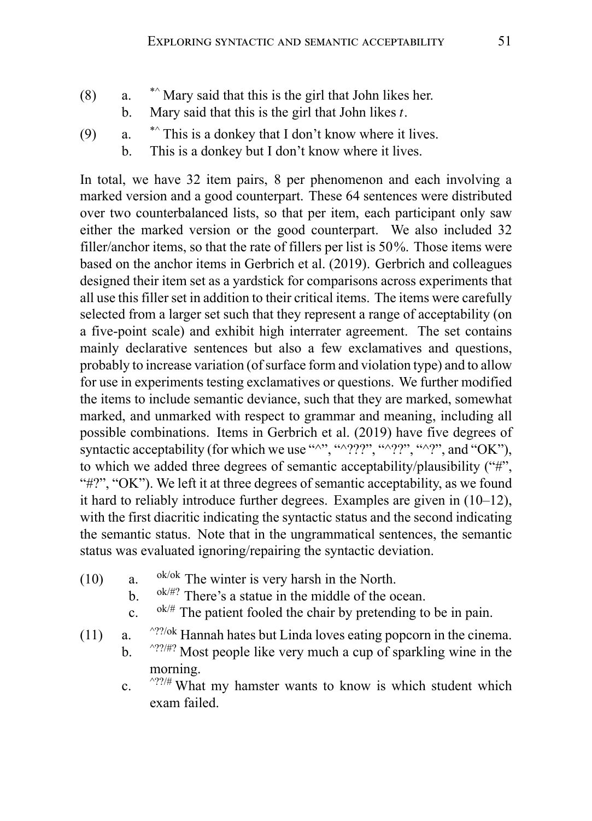- (8)  $a.$  \*^ Mary said that this is the girl that John likes her.
	- b. Mary said that this is the girl that John likes *t*.
- (9) a.  $\ast$  This is a donkey that I don't know where it lives.
	- b. This is a donkey but I don't know where it lives.

In total, we have 32 item pairs, 8 per phenomenon and each involving a marked version and a good counterpart. These 64 sentences were distributed over two counterbalanced lists, so that per item, each participant only saw either the marked version or the good counterpart. We also included 32 filler/anchor items, so that the rate of fillers per list is 50%. Those items were based on the anchor items in Gerbrich et al. (2019). Gerbrich and colleagues designed their item set as a yardstick for comparisons across experiments that all use this filler set in addition to their critical items. The items were carefully selected from a larger set such that they represent a range of acceptability (on a five-point scale) and exhibit high interrater agreement. The set contains mainly declarative sentences but also a few exclamatives and questions, probably to increase variation (of surface form and violation type) and to allow for use in experiments testing exclamatives or questions. We further modified the items to include semantic deviance, such that they are marked, somewhat marked, and unmarked with respect to grammar and meaning, including all possible combinations. Items in Gerbrich et al. (2019) have five degrees of syntactic acceptability (for which we use "^", "^???", "^??", "^?", and "OK"), to which we added three degrees of semantic acceptability/plausibility ("#", " $\#$ ?", "OK"). We left it at three degrees of semantic acceptability, as we found it hard to reliably introduce further degrees. Examples are given in (10–12), with the first diacritic indicating the syntactic status and the second indicating the semantic status. Note that in the ungrammatical sentences, the semantic status was evaluated ignoring/repairing the syntactic deviation.

- (10) a.  $0^{6/6k}$  The winter is very harsh in the North.
	- b.  $0^{6k/\#?}$  There's a statue in the middle of the ocean.
	- c.  $0^{k/\#}$  The patient fooled the chair by pretending to be in pain.
- (11) a.  $\frac{\text{?}?}{\text{?}}$  Hannah hates but Linda loves eating popcorn in the cinema.
	- b.  $\frac{\wedge ?}{\wedge ?}$  Most people like very much a cup of sparkling wine in the morning.
	- c.  $\frac{\gamma}{\gamma}$  What my hamster wants to know is which student which exam failed.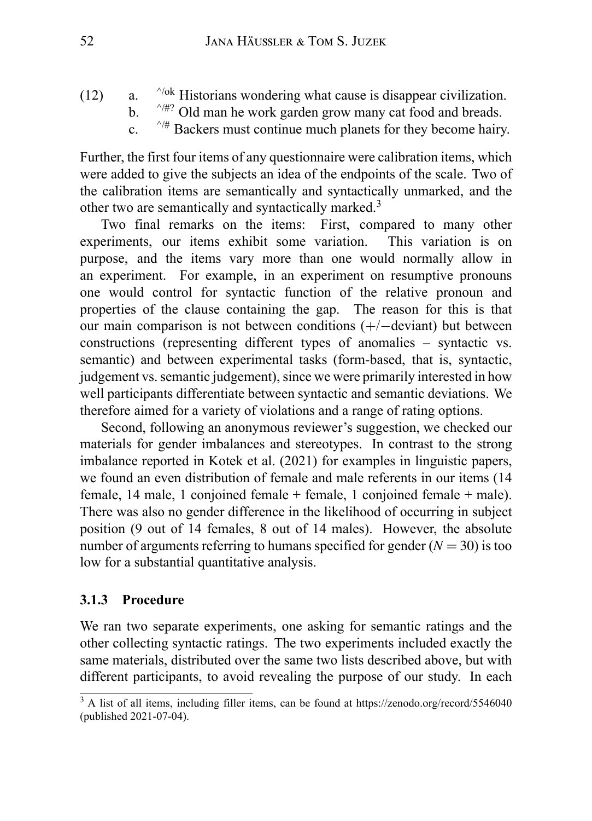- (12) a.  $\frac{\gamma_{ok}}{\gamma_{mk}}$  Historians wondering what cause is disappear civilization.
	- b.  $\sqrt{4^n}$  Old man he work garden grow many cat food and breads.
	- c.  $\sqrt{4}$  Backers must continue much planets for they become hairy.

Further, the first four items of any questionnaire were calibration items, which were added to give the subjects an idea of the endpoints of the scale. Two of the calibration items are semantically and syntactically unmarked, and the other two are semantically and syntactically marked.<sup>3</sup>

Two final remarks on the items: First, compared to many other experiments, our items exhibit some variation. This variation is on purpose, and the items vary more than one would normally allow in an experiment. For example, in an experiment on resumptive pronouns one would control for syntactic function of the relative pronoun and properties of the clause containing the gap. The reason for this is that our main comparison is not between conditions (+/*−*deviant) but between constructions (representing different types of anomalies – syntactic vs. semantic) and between experimental tasks (form-based, that is, syntactic, judgement vs. semantic judgement), since we were primarily interested in how well participants differentiate between syntactic and semantic deviations. We therefore aimed for a variety of violations and a range of rating options.

Second, following an anonymous reviewer's suggestion, we checked our materials for gender imbalances and stereotypes. In contrast to the strong imbalance reported in Kotek et al. (2021) for examples in linguistic papers, we found an even distribution of female and male referents in our items (14 female, 14 male, 1 conjoined female + female, 1 conjoined female + male). There was also no gender difference in the likelihood of occurring in subject position (9 out of 14 females, 8 out of 14 males). However, the absolute number of arguments referring to humans specified for gender  $(N = 30)$  is too low for a substantial quantitative analysis.

### **3.1.3 Procedure**

We ran two separate experiments, one asking for semantic ratings and the other collecting syntactic ratings. The two experiments included exactly the same materials, distributed over the same two lists described above, but with different participants, to avoid revealing the purpose of our study. In each

<sup>&</sup>lt;sup>3</sup> A list of all items, including filler items, can be found at https://zenodo.org/record/5546040 (published 2021-07-04).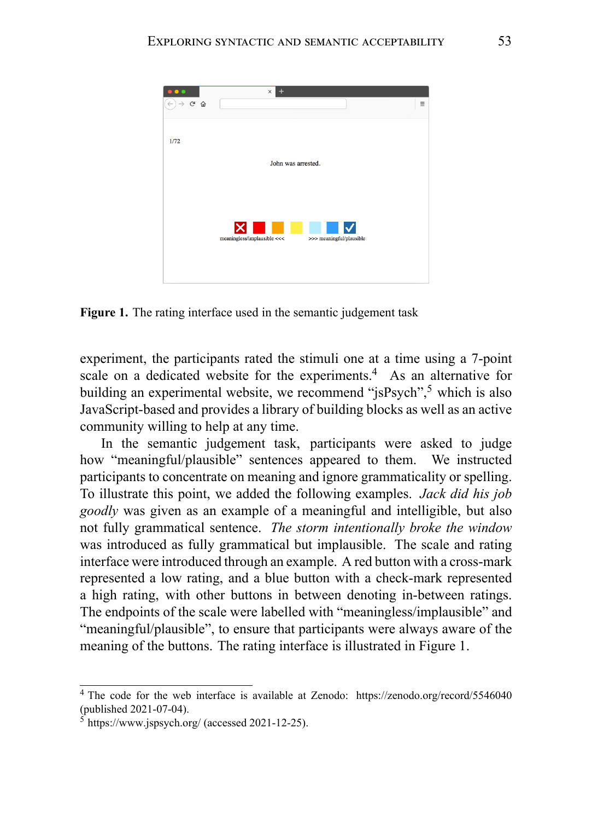

**Figure 1.** The rating interface used in the semantic judgement task

experiment, the participants rated the stimuli one at a time using a 7-point scale on a dedicated website for the experiments.<sup>4</sup> As an alternative for building an experimental website, we recommend " $i$ sPsych",<sup>5</sup> which is also JavaScript-based and provides a library of building blocks as well as an active community willing to help at any time.

In the semantic judgement task, participants were asked to judge how "meaningful/plausible" sentences appeared to them. We instructed participants to concentrate on meaning and ignore grammaticality or spelling. To illustrate this point, we added the following examples. *Jack did his job goodly* was given as an example of a meaningful and intelligible, but also not fully grammatical sentence. *The storm intentionally broke the window* was introduced as fully grammatical but implausible. The scale and rating interface were introduced through an example. A red button with a cross-mark represented a low rating, and a blue button with a check-mark represented a high rating, with other buttons in between denoting in-between ratings. The endpoints of the scale were labelled with "meaningless/implausible" and "meaningful/plausible", to ensure that participants were always aware of the meaning of the buttons. The rating interface is illustrated in Figure 1.

<sup>4</sup> The code for the web interface is available at Zenodo: https://zenodo.org/record/5546040 (published 2021-07-04).

 $5 \text{ https://www.jspsvch.org/} (accessed 2021-12-25).$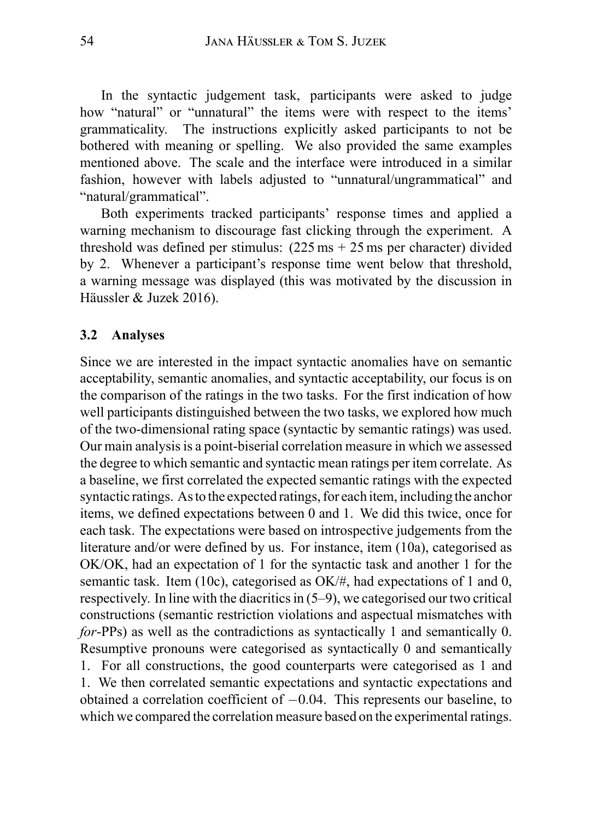In the syntactic judgement task, participants were asked to judge how "natural" or "unnatural" the items were with respect to the items' grammaticality. The instructions explicitly asked participants to not be bothered with meaning or spelling. We also provided the same examples mentioned above. The scale and the interface were introduced in a similar fashion, however with labels adjusted to "unnatural/ungrammatical" and "natural/grammatical".

Both experiments tracked participants' response times and applied a warning mechanism to discourage fast clicking through the experiment. A threshold was defined per stimulus:  $(225 \text{ ms} + 25 \text{ ms})$  per character) divided by 2. Whenever a participant's response time went below that threshold, a warning message was displayed (this was motivated by the discussion in Häussler & Juzek 2016).

#### **3.2 Analyses**

Since we are interested in the impact syntactic anomalies have on semantic acceptability, semantic anomalies, and syntactic acceptability, our focus is on the comparison of the ratings in the two tasks. For the first indication of how well participants distinguished between the two tasks, we explored how much of the two-dimensional rating space (syntactic by semantic ratings) was used. Our main analysis is a point-biserial correlation measure in which we assessed the degree to which semantic and syntactic mean ratings per item correlate. As a baseline, we first correlated the expected semantic ratings with the expected syntactic ratings. As to the expected ratings, for each item, including the anchor items, we defined expectations between 0 and 1. We did this twice, once for each task. The expectations were based on introspective judgements from the literature and/or were defined by us. For instance, item (10a), categorised as OK/OK, had an expectation of 1 for the syntactic task and another 1 for the semantic task. Item (10c), categorised as OK/#, had expectations of 1 and 0, respectively. In line with the diacritics in (5–9), we categorised our two critical constructions (semantic restriction violations and aspectual mismatches with *for*-PPs) as well as the contradictions as syntactically 1 and semantically 0. Resumptive pronouns were categorised as syntactically 0 and semantically 1. For all constructions, the good counterparts were categorised as 1 and 1. We then correlated semantic expectations and syntactic expectations and obtained a correlation coefficient of *−*0*.*04. This represents our baseline, to which we compared the correlation measure based on the experimental ratings.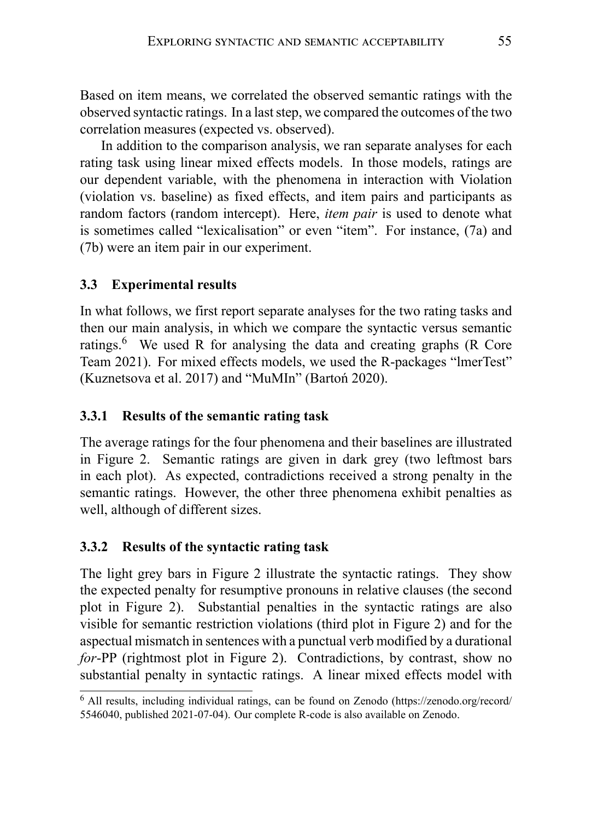Based on item means, we correlated the observed semantic ratings with the observed syntactic ratings. In a last step, we compared the outcomes of the two correlation measures (expected vs. observed).

In addition to the comparison analysis, we ran separate analyses for each rating task using linear mixed effects models. In those models, ratings are our dependent variable, with the phenomena in interaction with Violation (violation vs. baseline) as fixed effects, and item pairs and participants as random factors (random intercept). Here, *item pair* is used to denote what is sometimes called "lexicalisation" or even "item". For instance, (7a) and (7b) were an item pair in our experiment.

# **3.3 Experimental results**

In what follows, we first report separate analyses for the two rating tasks and then our main analysis, in which we compare the syntactic versus semantic ratings.<sup>6</sup> We used R for analysing the data and creating graphs (R Core Team 2021). For mixed effects models, we used the R-packages "lmerTest" (Kuznetsova et al. 2017) and "MuMIn" (Bartoń 2020).

# **3.3.1 Results of the semantic rating task**

The average ratings for the four phenomena and their baselines are illustrated in Figure 2. Semantic ratings are given in dark grey (two leftmost bars in each plot). As expected, contradictions received a strong penalty in the semantic ratings. However, the other three phenomena exhibit penalties as well, although of different sizes.

# **3.3.2 Results of the syntactic rating task**

The light grey bars in Figure 2 illustrate the syntactic ratings. They show the expected penalty for resumptive pronouns in relative clauses (the second plot in Figure 2). Substantial penalties in the syntactic ratings are also visible for semantic restriction violations (third plot in Figure 2) and for the aspectual mismatch in sentences with a punctual verb modified by a durational *for*-PP (rightmost plot in Figure 2). Contradictions, by contrast, show no substantial penalty in syntactic ratings. A linear mixed effects model with

<sup>6</sup> All results, including individual ratings, can be found on Zenodo (https://zenodo.org/record/ 5546040, published 2021-07-04). Our complete R-code is also available on Zenodo.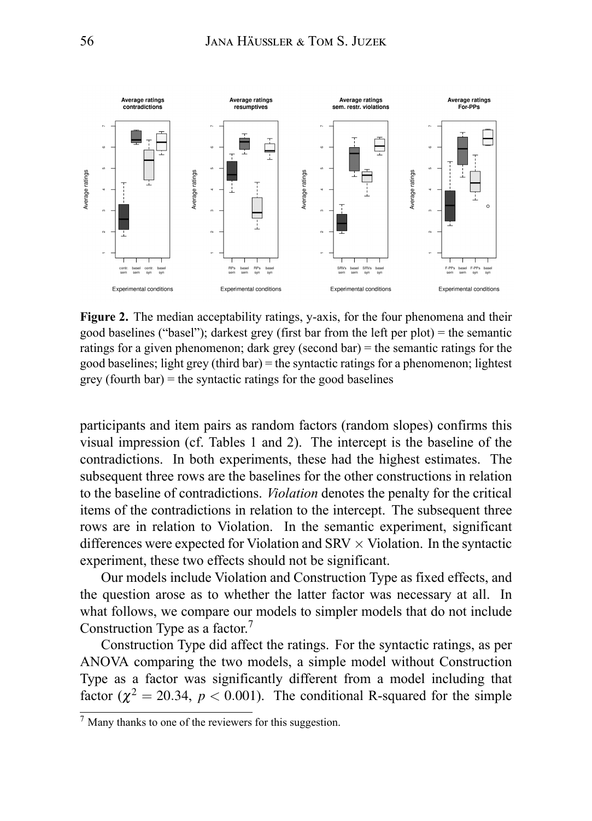

**Figure 2.** The median acceptability ratings, y-axis, for the four phenomena and their good baselines ("basel"); darkest grey (first bar from the left per plot) = the semantic ratings for a given phenomenon; dark grey (second bar) = the semantic ratings for the good baselines; light grey (third bar) = the syntactic ratings for a phenomenon; lightest  $grey (fourth bar) = the syntactic ratings for the good baselines$ 

participants and item pairs as random factors (random slopes) confirms this visual impression (cf. Tables 1 and 2). The intercept is the baseline of the contradictions. In both experiments, these had the highest estimates. The subsequent three rows are the baselines for the other constructions in relation to the baseline of contradictions. *Violation* denotes the penalty for the critical items of the contradictions in relation to the intercept. The subsequent three rows are in relation to Violation. In the semantic experiment, significant differences were expected for Violation and SRV *×* Violation. In the syntactic experiment, these two effects should not be significant.

Our models include Violation and Construction Type as fixed effects, and the question arose as to whether the latter factor was necessary at all. In what follows, we compare our models to simpler models that do not include Construction Type as a factor.<sup>7</sup>

Construction Type did affect the ratings. For the syntactic ratings, as per ANOVA comparing the two models, a simple model without Construction Type as a factor was significantly different from a model including that factor ( $\chi^2 = 20.34$ ,  $p < 0.001$ ). The conditional R-squared for the simple

 $<sup>7</sup>$  Many thanks to one of the reviewers for this suggestion.</sup>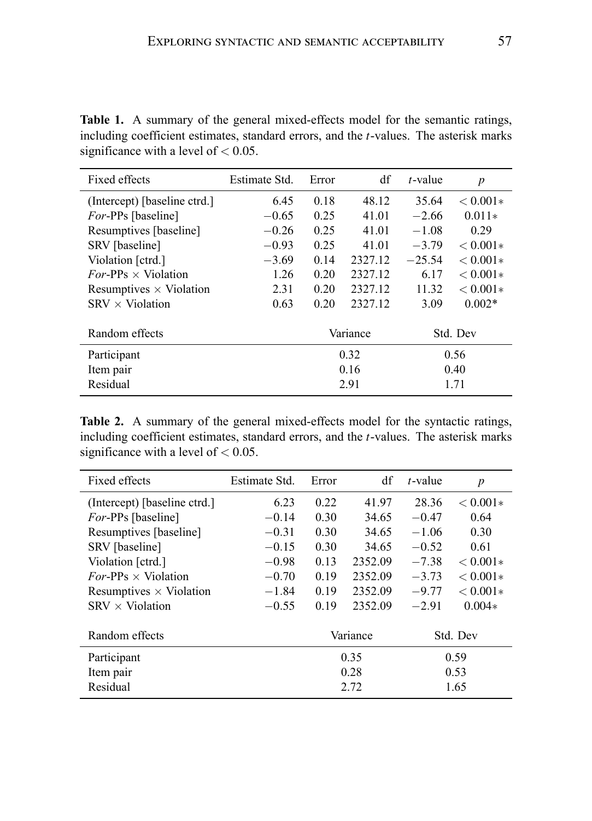| Fixed effects                  | Estimate Std. | Error    | df      | $t$ -value | $\boldsymbol{p}$ |
|--------------------------------|---------------|----------|---------|------------|------------------|
| (Intercept) [baseline ctrd.]   | 6.45          | 0.18     | 48.12   | 35.64      | $< 0.001*$       |
| <i>For-PPs</i> [baseline]      | $-0.65$       | 0.25     | 41.01   | $-2.66$    | $0.011*$         |
| Resumptives [baseline]         | $-0.26$       | 0.25     | 41.01   | $-1.08$    | 0.29             |
| SRV [baseline]                 | $-0.93$       | 0.25     | 41.01   | $-3.79$    | $< 0.001*$       |
| Violation [ctrd.]              | $-3.69$       | 0.14     | 2327.12 | $-25.54$   | $< 0.001*$       |
| $For-PPs \times Violation$     | 1.26          | 0.20     | 2327.12 | 6.17       | $< 0.001*$       |
| Resumptives $\times$ Violation | 2.31          | 0.20     | 2327.12 | 11.32      | $< 0.001*$       |
| $SRV \times$ Violation         | 0.63          | 0.20     | 2327.12 | 3.09       | $0.002*$         |
| Random effects                 |               | Variance |         | Std. Dev   |                  |
| Participant                    |               | 0.32     |         | 0.56       |                  |
| Item pair                      |               | 0.16     |         | 0.40       |                  |
| Residual                       |               | 2.91     |         | 1.71       |                  |

**Table 1.** A summary of the general mixed-effects model for the semantic ratings, including coefficient estimates, standard errors, and the *t*-values. The asterisk marks significance with a level of *<* 0*.*05.

**Table 2.** A summary of the general mixed-effects model for the syntactic ratings, including coefficient estimates, standard errors, and the *t*-values. The asterisk marks significance with a level of *<* 0*.*05.

| Fixed effects                  | Estimate Std. | Error    | df      | $t$ -value | p          |
|--------------------------------|---------------|----------|---------|------------|------------|
| (Intercept) [baseline ctrd.]   | 6.23          | 0.22     | 41.97   | 28.36      | $< 0.001*$ |
| <i>For-PPs</i> [baseline]      | $-0.14$       | 0.30     | 34.65   | $-0.47$    | 0.64       |
| Resumptives [baseline]         | $-0.31$       | 0.30     | 34.65   | $-1.06$    | 0.30       |
| SRV [baseline]                 | $-0.15$       | 0.30     | 34.65   | $-0.52$    | 0.61       |
| Violation [ctrd.]              | $-0.98$       | 0.13     | 2352.09 | $-7.38$    | $< 0.001*$ |
| $For-PPs \times Violation$     | $-0.70$       | 0.19     | 2352.09 | $-3.73$    | $< 0.001*$ |
| Resumptives $\times$ Violation | $-1.84$       | 0.19     | 2352.09 | $-9.77$    | $< 0.001*$ |
| $SRV \times$ Violation         | $-0.55$       | 0.19     | 2352.09 | $-2.91$    | $0.004*$   |
| Random effects                 |               | Variance |         | Std. Dev   |            |
| Participant                    |               | 0.35     |         | 0.59       |            |
| Item pair                      |               | 0.28     |         | 0.53       |            |
| Residual                       |               | 2.72     |         | 1.65       |            |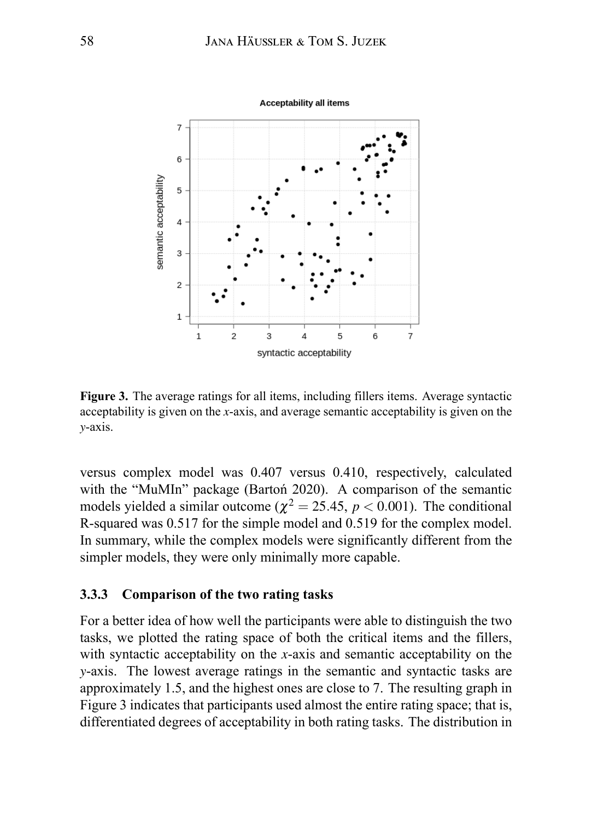

**Figure 3.** The average ratings for all items, including fillers items. Average syntactic acceptability is given on the *x*-axis, and average semantic acceptability is given on the *y*-axis.

versus complex model was 0.407 versus 0.410, respectively, calculated with the "MuMIn" package (Bartoń 2020). A comparison of the semantic models yielded a similar outcome ( $\chi^2 = 25.45$ ,  $p < 0.001$ ). The conditional R-squared was 0.517 for the simple model and 0.519 for the complex model. In summary, while the complex models were significantly different from the simpler models, they were only minimally more capable.

#### **3.3.3 Comparison of the two rating tasks**

For a better idea of how well the participants were able to distinguish the two tasks, we plotted the rating space of both the critical items and the fillers, with syntactic acceptability on the *x*-axis and semantic acceptability on the *y*-axis. The lowest average ratings in the semantic and syntactic tasks are approximately 1.5, and the highest ones are close to 7. The resulting graph in Figure 3 indicates that participants used almost the entire rating space; that is, differentiated degrees of acceptability in both rating tasks. The distribution in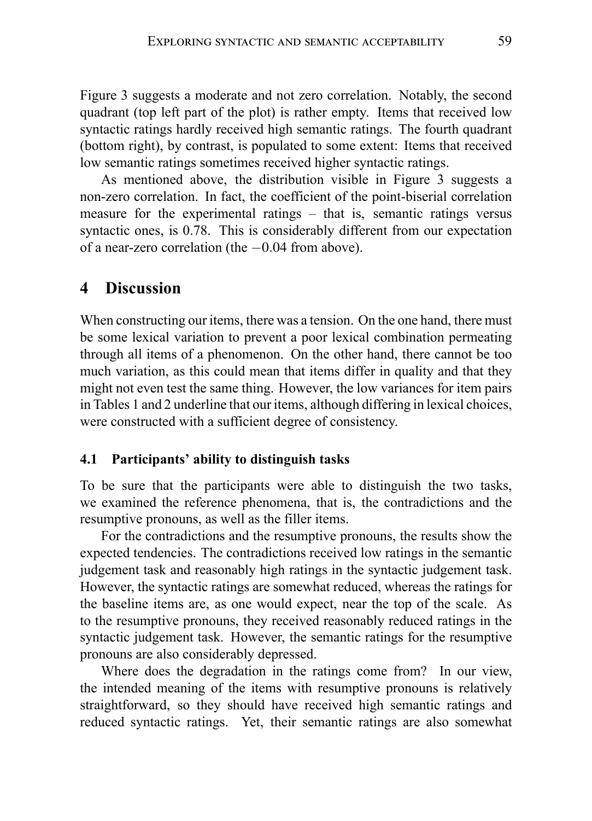Figure 3 suggests a moderate and not zero correlation. Notably, the second quadrant (top left part of the plot) is rather empty. Items that received low syntactic ratings hardly received high semantic ratings. The fourth quadrant (bottom right), by contrast, is populated to some extent: Items that received low semantic ratings sometimes received higher syntactic ratings.

As mentioned above, the distribution visible in Figure 3 suggests a non-zero correlation. In fact, the coefficient of the point-biserial correlation measure for the experimental ratings – that is, semantic ratings versus syntactic ones, is 0.78. This is considerably different from our expectation of a near-zero correlation (the *−*0*.*04 from above).

### **4 Discussion**

When constructing our items, there was a tension. On the one hand, there must be some lexical variation to prevent a poor lexical combination permeating through all items of a phenomenon. On the other hand, there cannot be too much variation, as this could mean that items differ in quality and that they might not even test the same thing. However, the low variances for item pairs in Tables 1 and 2 underline that our items, although differing in lexical choices, were constructed with a sufficient degree of consistency.

#### **4.1 Participants' ability to distinguish tasks**

To be sure that the participants were able to distinguish the two tasks, we examined the reference phenomena, that is, the contradictions and the resumptive pronouns, as well as the filler items.

For the contradictions and the resumptive pronouns, the results show the expected tendencies. The contradictions received low ratings in the semantic judgement task and reasonably high ratings in the syntactic judgement task. However, the syntactic ratings are somewhat reduced, whereas the ratings for the baseline items are, as one would expect, near the top of the scale. As to the resumptive pronouns, they received reasonably reduced ratings in the syntactic judgement task. However, the semantic ratings for the resumptive pronouns are also considerably depressed.

Where does the degradation in the ratings come from? In our view, the intended meaning of the items with resumptive pronouns is relatively straightforward, so they should have received high semantic ratings and reduced syntactic ratings. Yet, their semantic ratings are also somewhat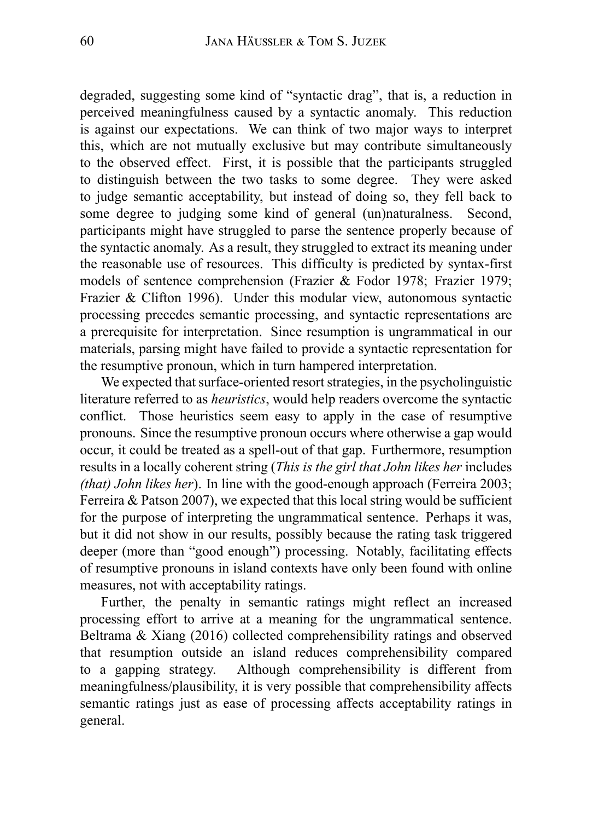degraded, suggesting some kind of "syntactic drag", that is, a reduction in perceived meaningfulness caused by a syntactic anomaly. This reduction is against our expectations. We can think of two major ways to interpret this, which are not mutually exclusive but may contribute simultaneously to the observed effect. First, it is possible that the participants struggled to distinguish between the two tasks to some degree. They were asked to judge semantic acceptability, but instead of doing so, they fell back to some degree to judging some kind of general (un)naturalness. Second, participants might have struggled to parse the sentence properly because of the syntactic anomaly. As a result, they struggled to extract its meaning under the reasonable use of resources. This difficulty is predicted by syntax-first models of sentence comprehension (Frazier & Fodor 1978; Frazier 1979; Frazier & Clifton 1996). Under this modular view, autonomous syntactic processing precedes semantic processing, and syntactic representations are a prerequisite for interpretation. Since resumption is ungrammatical in our materials, parsing might have failed to provide a syntactic representation for the resumptive pronoun, which in turn hampered interpretation.

We expected that surface-oriented resort strategies, in the psycholinguistic literature referred to as *heuristics*, would help readers overcome the syntactic conflict. Those heuristics seem easy to apply in the case of resumptive pronouns. Since the resumptive pronoun occurs where otherwise a gap would occur, it could be treated as a spell-out of that gap. Furthermore, resumption results in a locally coherent string (*This is the girl that John likes her* includes *(that) John likes her*). In line with the good-enough approach (Ferreira 2003; Ferreira  $&$  Patson 2007), we expected that this local string would be sufficient for the purpose of interpreting the ungrammatical sentence. Perhaps it was, but it did not show in our results, possibly because the rating task triggered deeper (more than "good enough") processing. Notably, facilitating effects of resumptive pronouns in island contexts have only been found with online measures, not with acceptability ratings.

Further, the penalty in semantic ratings might reflect an increased processing effort to arrive at a meaning for the ungrammatical sentence. Beltrama & Xiang (2016) collected comprehensibility ratings and observed that resumption outside an island reduces comprehensibility compared to a gapping strategy. Although comprehensibility is different from meaningfulness/plausibility, it is very possible that comprehensibility affects semantic ratings just as ease of processing affects acceptability ratings in general.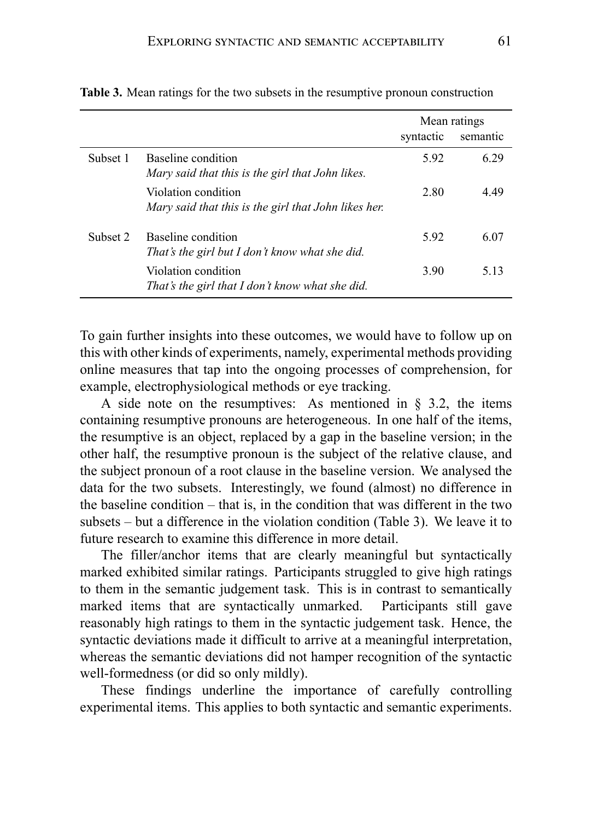|          |                                                                             | Mean ratings |          |
|----------|-----------------------------------------------------------------------------|--------------|----------|
|          |                                                                             | syntactic    | semantic |
| Subset 1 | Baseline condition<br>Mary said that this is the girl that John likes.      | 5.92         | 6.29     |
|          | Violation condition<br>Mary said that this is the girl that John likes her. | 2.80         | 4.49     |
| Subset 2 | Baseline condition<br>That's the girl but I don't know what she did.        | 592          | 6.07     |
|          | Violation condition<br>That's the girl that I don't know what she did.      | 3.90         | 5 1 3    |

**Table 3.** Mean ratings for the two subsets in the resumptive pronoun construction

To gain further insights into these outcomes, we would have to follow up on this with other kinds of experiments, namely, experimental methods providing online measures that tap into the ongoing processes of comprehension, for example, electrophysiological methods or eye tracking.

A side note on the resumptives: As mentioned in § 3.2, the items containing resumptive pronouns are heterogeneous. In one half of the items, the resumptive is an object, replaced by a gap in the baseline version; in the other half, the resumptive pronoun is the subject of the relative clause, and the subject pronoun of a root clause in the baseline version. We analysed the data for the two subsets. Interestingly, we found (almost) no difference in the baseline condition – that is, in the condition that was different in the two subsets – but a difference in the violation condition (Table 3). We leave it to future research to examine this difference in more detail.

The filler/anchor items that are clearly meaningful but syntactically marked exhibited similar ratings. Participants struggled to give high ratings to them in the semantic judgement task. This is in contrast to semantically marked items that are syntactically unmarked. Participants still gave reasonably high ratings to them in the syntactic judgement task. Hence, the syntactic deviations made it difficult to arrive at a meaningful interpretation, whereas the semantic deviations did not hamper recognition of the syntactic well-formedness (or did so only mildly).

These findings underline the importance of carefully controlling experimental items. This applies to both syntactic and semantic experiments.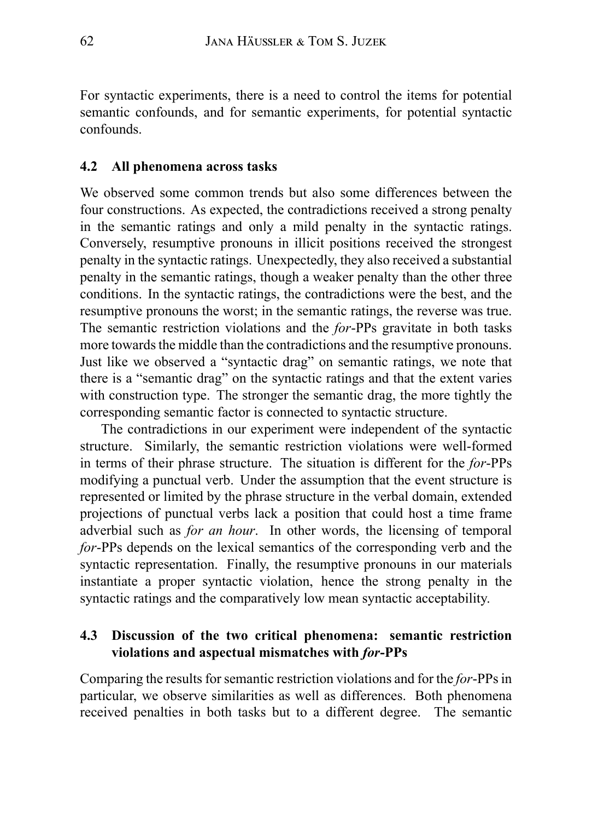For syntactic experiments, there is a need to control the items for potential semantic confounds, and for semantic experiments, for potential syntactic confounds.

#### **4.2 All phenomena across tasks**

We observed some common trends but also some differences between the four constructions. As expected, the contradictions received a strong penalty in the semantic ratings and only a mild penalty in the syntactic ratings. Conversely, resumptive pronouns in illicit positions received the strongest penalty in the syntactic ratings. Unexpectedly, they also received a substantial penalty in the semantic ratings, though a weaker penalty than the other three conditions. In the syntactic ratings, the contradictions were the best, and the resumptive pronouns the worst; in the semantic ratings, the reverse was true. The semantic restriction violations and the *for*-PPs gravitate in both tasks more towards the middle than the contradictions and the resumptive pronouns. Just like we observed a "syntactic drag" on semantic ratings, we note that there is a "semantic drag" on the syntactic ratings and that the extent varies with construction type. The stronger the semantic drag, the more tightly the corresponding semantic factor is connected to syntactic structure.

The contradictions in our experiment were independent of the syntactic structure. Similarly, the semantic restriction violations were well-formed in terms of their phrase structure. The situation is different for the *for*-PPs modifying a punctual verb. Under the assumption that the event structure is represented or limited by the phrase structure in the verbal domain, extended projections of punctual verbs lack a position that could host a time frame adverbial such as *for an hour*. In other words, the licensing of temporal *for*-PPs depends on the lexical semantics of the corresponding verb and the syntactic representation. Finally, the resumptive pronouns in our materials instantiate a proper syntactic violation, hence the strong penalty in the syntactic ratings and the comparatively low mean syntactic acceptability.

#### **4.3 Discussion of the two critical phenomena: semantic restriction violations and aspectual mismatches with** *for***-PPs**

Comparing the results for semantic restriction violations and for the *for*-PPs in particular, we observe similarities as well as differences. Both phenomena received penalties in both tasks but to a different degree. The semantic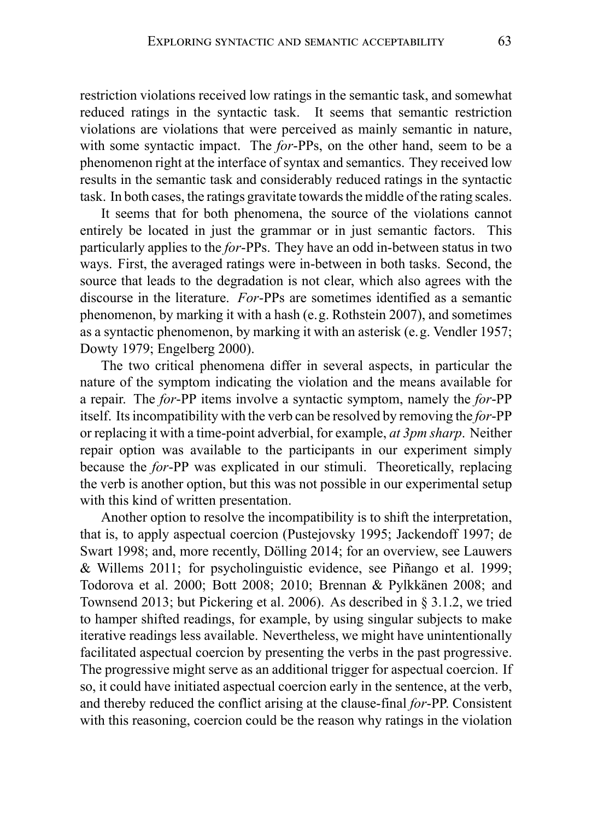restriction violations received low ratings in the semantic task, and somewhat reduced ratings in the syntactic task. It seems that semantic restriction violations are violations that were perceived as mainly semantic in nature, with some syntactic impact. The *for*-PPs, on the other hand, seem to be a phenomenon right at the interface of syntax and semantics. They received low results in the semantic task and considerably reduced ratings in the syntactic task. In both cases, the ratings gravitate towards the middle of the rating scales.

It seems that for both phenomena, the source of the violations cannot entirely be located in just the grammar or in just semantic factors. This particularly applies to the *for*-PPs. They have an odd in-between status in two ways. First, the averaged ratings were in-between in both tasks. Second, the source that leads to the degradation is not clear, which also agrees with the discourse in the literature. *For*-PPs are sometimes identified as a semantic phenomenon, by marking it with a hash (e.g. Rothstein 2007), and sometimes as a syntactic phenomenon, by marking it with an asterisk (e.g. Vendler 1957; Dowty 1979; Engelberg 2000).

The two critical phenomena differ in several aspects, in particular the nature of the symptom indicating the violation and the means available for a repair. The *for*-PP items involve a syntactic symptom, namely the *for*-PP itself. Its incompatibility with the verb can be resolved by removing the *for*-PP or replacing it with a time-point adverbial, for example, *at 3pm sharp*. Neither repair option was available to the participants in our experiment simply because the *for*-PP was explicated in our stimuli. Theoretically, replacing the verb is another option, but this was not possible in our experimental setup with this kind of written presentation.

Another option to resolve the incompatibility is to shift the interpretation, that is, to apply aspectual coercion (Pustejovsky 1995; Jackendoff 1997; de Swart 1998; and, more recently, Dölling 2014; for an overview, see Lauwers & Willems 2011; for psycholinguistic evidence, see Piñango et al. 1999; Todorova et al. 2000; Bott 2008; 2010; Brennan & Pylkkänen 2008; and Townsend 2013; but Pickering et al. 2006). As described in § 3.1.2, we tried to hamper shifted readings, for example, by using singular subjects to make iterative readings less available. Nevertheless, we might have unintentionally facilitated aspectual coercion by presenting the verbs in the past progressive. The progressive might serve as an additional trigger for aspectual coercion. If so, it could have initiated aspectual coercion early in the sentence, at the verb, and thereby reduced the conflict arising at the clause-final *for*-PP. Consistent with this reasoning, coercion could be the reason why ratings in the violation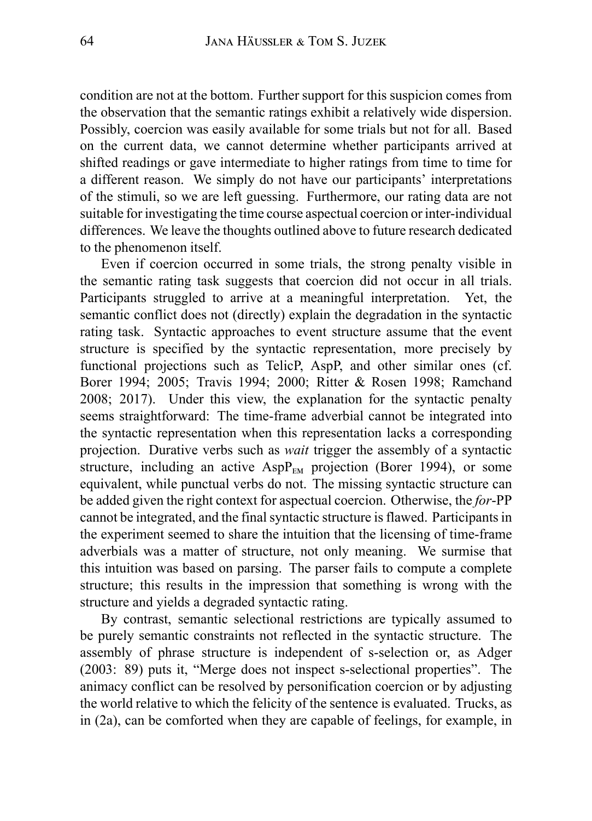condition are not at the bottom. Further support for this suspicion comes from the observation that the semantic ratings exhibit a relatively wide dispersion. Possibly, coercion was easily available for some trials but not for all. Based on the current data, we cannot determine whether participants arrived at shifted readings or gave intermediate to higher ratings from time to time for a different reason. We simply do not have our participants' interpretations of the stimuli, so we are left guessing. Furthermore, our rating data are not suitable for investigating the time course aspectual coercion or inter-individual differences. We leave the thoughts outlined above to future research dedicated to the phenomenon itself.

Even if coercion occurred in some trials, the strong penalty visible in the semantic rating task suggests that coercion did not occur in all trials. Participants struggled to arrive at a meaningful interpretation. Yet, the semantic conflict does not (directly) explain the degradation in the syntactic rating task. Syntactic approaches to event structure assume that the event structure is specified by the syntactic representation, more precisely by functional projections such as TelicP, AspP, and other similar ones (cf. Borer 1994; 2005; Travis 1994; 2000; Ritter & Rosen 1998; Ramchand 2008; 2017). Under this view, the explanation for the syntactic penalty seems straightforward: The time-frame adverbial cannot be integrated into the syntactic representation when this representation lacks a corresponding projection. Durative verbs such as *wait* trigger the assembly of a syntactic structure, including an active  $AspP_{EM}$  projection (Borer 1994), or some equivalent, while punctual verbs do not. The missing syntactic structure can be added given the right context for aspectual coercion. Otherwise, the *for*-PP cannot be integrated, and the final syntactic structure is flawed. Participants in the experiment seemed to share the intuition that the licensing of time-frame adverbials was a matter of structure, not only meaning. We surmise that this intuition was based on parsing. The parser fails to compute a complete structure; this results in the impression that something is wrong with the structure and yields a degraded syntactic rating.

By contrast, semantic selectional restrictions are typically assumed to be purely semantic constraints not reflected in the syntactic structure. The assembly of phrase structure is independent of s-selection or, as Adger (2003: 89) puts it, "Merge does not inspect s-selectional properties". The animacy conflict can be resolved by personification coercion or by adjusting the world relative to which the felicity of the sentence is evaluated. Trucks, as in (2a), can be comforted when they are capable of feelings, for example, in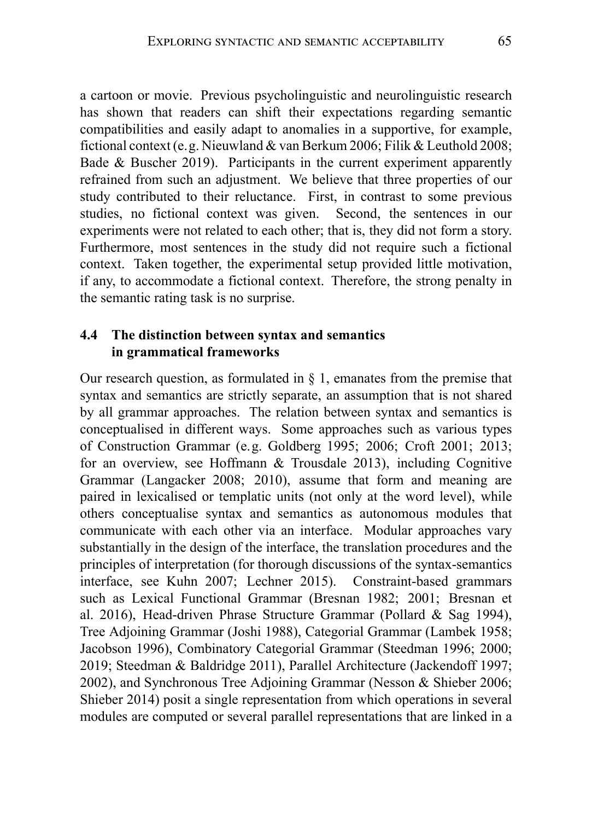a cartoon or movie. Previous psycholinguistic and neurolinguistic research has shown that readers can shift their expectations regarding semantic compatibilities and easily adapt to anomalies in a supportive, for example, fictional context (e.g. Nieuwland & van Berkum 2006; Filik & Leuthold 2008; Bade & Buscher 2019). Participants in the current experiment apparently refrained from such an adjustment. We believe that three properties of our study contributed to their reluctance. First, in contrast to some previous studies, no fictional context was given. Second, the sentences in our experiments were not related to each other; that is, they did not form a story. Furthermore, most sentences in the study did not require such a fictional context. Taken together, the experimental setup provided little motivation, if any, to accommodate a fictional context. Therefore, the strong penalty in the semantic rating task is no surprise.

#### **4.4 The distinction between syntax and semantics in grammatical frameworks**

Our research question, as formulated in § 1, emanates from the premise that syntax and semantics are strictly separate, an assumption that is not shared by all grammar approaches. The relation between syntax and semantics is conceptualised in different ways. Some approaches such as various types of Construction Grammar (e.g. Goldberg 1995; 2006; Croft 2001; 2013; for an overview, see Hoffmann & Trousdale 2013), including Cognitive Grammar (Langacker 2008; 2010), assume that form and meaning are paired in lexicalised or templatic units (not only at the word level), while others conceptualise syntax and semantics as autonomous modules that communicate with each other via an interface. Modular approaches vary substantially in the design of the interface, the translation procedures and the principles of interpretation (for thorough discussions of the syntax-semantics interface, see Kuhn 2007; Lechner 2015). Constraint-based grammars such as Lexical Functional Grammar (Bresnan 1982; 2001; Bresnan et al. 2016), Head-driven Phrase Structure Grammar (Pollard & Sag 1994), Tree Adjoining Grammar (Joshi 1988), Categorial Grammar (Lambek 1958; Jacobson 1996), Combinatory Categorial Grammar (Steedman 1996; 2000; 2019; Steedman & Baldridge 2011), Parallel Architecture (Jackendoff 1997; 2002), and Synchronous Tree Adjoining Grammar (Nesson & Shieber 2006; Shieber 2014) posit a single representation from which operations in several modules are computed or several parallel representations that are linked in a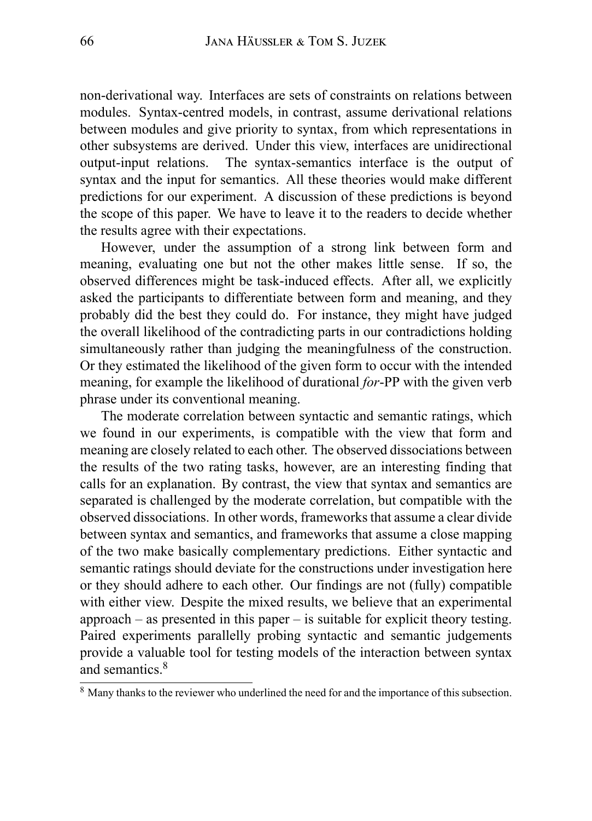non-derivational way. Interfaces are sets of constraints on relations between modules. Syntax-centred models, in contrast, assume derivational relations between modules and give priority to syntax, from which representations in other subsystems are derived. Under this view, interfaces are unidirectional output-input relations. The syntax-semantics interface is the output of syntax and the input for semantics. All these theories would make different predictions for our experiment. A discussion of these predictions is beyond the scope of this paper. We have to leave it to the readers to decide whether the results agree with their expectations.

However, under the assumption of a strong link between form and meaning, evaluating one but not the other makes little sense. If so, the observed differences might be task-induced effects. After all, we explicitly asked the participants to differentiate between form and meaning, and they probably did the best they could do. For instance, they might have judged the overall likelihood of the contradicting parts in our contradictions holding simultaneously rather than judging the meaningfulness of the construction. Or they estimated the likelihood of the given form to occur with the intended meaning, for example the likelihood of durational *for*-PP with the given verb phrase under its conventional meaning.

The moderate correlation between syntactic and semantic ratings, which we found in our experiments, is compatible with the view that form and meaning are closely related to each other. The observed dissociations between the results of the two rating tasks, however, are an interesting finding that calls for an explanation. By contrast, the view that syntax and semantics are separated is challenged by the moderate correlation, but compatible with the observed dissociations. In other words, frameworks that assume a clear divide between syntax and semantics, and frameworks that assume a close mapping of the two make basically complementary predictions. Either syntactic and semantic ratings should deviate for the constructions under investigation here or they should adhere to each other. Our findings are not (fully) compatible with either view. Despite the mixed results, we believe that an experimental approach – as presented in this paper – is suitable for explicit theory testing. Paired experiments parallelly probing syntactic and semantic judgements provide a valuable tool for testing models of the interaction between syntax and semantics.<sup>8</sup>

<sup>&</sup>lt;sup>8</sup> Many thanks to the reviewer who underlined the need for and the importance of this subsection.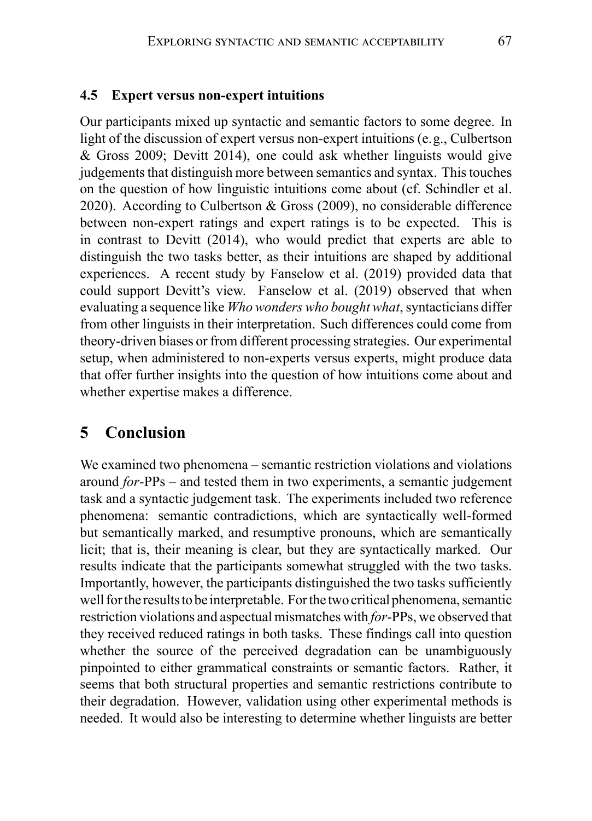#### **4.5 Expert versus non-expert intuitions**

Our participants mixed up syntactic and semantic factors to some degree. In light of the discussion of expert versus non-expert intuitions (e.g., Culbertson & Gross 2009; Devitt 2014), one could ask whether linguists would give judgements that distinguish more between semantics and syntax. This touches on the question of how linguistic intuitions come about (cf. Schindler et al. 2020). According to Culbertson & Gross (2009), no considerable difference between non-expert ratings and expert ratings is to be expected. This is in contrast to Devitt (2014), who would predict that experts are able to distinguish the two tasks better, as their intuitions are shaped by additional experiences. A recent study by Fanselow et al. (2019) provided data that could support Devitt's view. Fanselow et al. (2019) observed that when evaluating a sequence like *Who wonders who bought what*, syntacticians differ from other linguists in their interpretation. Such differences could come from theory-driven biases or from different processing strategies. Our experimental setup, when administered to non-experts versus experts, might produce data that offer further insights into the question of how intuitions come about and whether expertise makes a difference.

# **5 Conclusion**

We examined two phenomena – semantic restriction violations and violations around *for*-PPs – and tested them in two experiments, a semantic judgement task and a syntactic judgement task. The experiments included two reference phenomena: semantic contradictions, which are syntactically well-formed but semantically marked, and resumptive pronouns, which are semantically licit; that is, their meaning is clear, but they are syntactically marked. Our results indicate that the participants somewhat struggled with the two tasks. Importantly, however, the participants distinguished the two tasks sufficiently well for the results to be interpretable. For the two critical phenomena, semantic restriction violations and aspectual mismatches with *for*-PPs, we observed that they received reduced ratings in both tasks. These findings call into question whether the source of the perceived degradation can be unambiguously pinpointed to either grammatical constraints or semantic factors. Rather, it seems that both structural properties and semantic restrictions contribute to their degradation. However, validation using other experimental methods is needed. It would also be interesting to determine whether linguists are better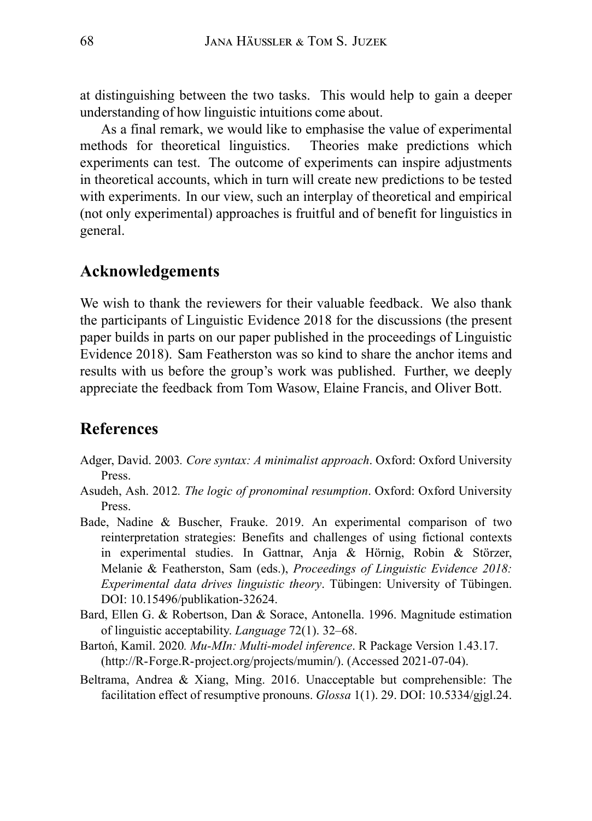at distinguishing between the two tasks. This would help to gain a deeper understanding of how linguistic intuitions come about.

As a final remark, we would like to emphasise the value of experimental methods for theoretical linguistics. Theories make predictions which experiments can test. The outcome of experiments can inspire adjustments in theoretical accounts, which in turn will create new predictions to be tested with experiments. In our view, such an interplay of theoretical and empirical (not only experimental) approaches is fruitful and of benefit for linguistics in general.

# **Acknowledgements**

We wish to thank the reviewers for their valuable feedback. We also thank the participants of Linguistic Evidence 2018 for the discussions (the present paper builds in parts on our paper published in the proceedings of Linguistic Evidence 2018). Sam Featherston was so kind to share the anchor items and results with us before the group's work was published. Further, we deeply appreciate the feedback from Tom Wasow, Elaine Francis, and Oliver Bott.

# **References**

- Adger, David. 2003*. Core syntax: A minimalist approach*. Oxford: Oxford University Press.
- Asudeh, Ash. 2012*. The logic of pronominal resumption*. Oxford: Oxford University Press.
- Bade, Nadine & Buscher, Frauke. 2019. An experimental comparison of two reinterpretation strategies: Benefits and challenges of using fictional contexts in experimental studies. In Gattnar, Anja & Hörnig, Robin & Störzer, Melanie & Featherston, Sam (eds.), *Proceedings of Linguistic Evidence 2018: Experimental data drives linguistic theory*. Tübingen: University of Tübingen. DOI: 10.15496/publikation-32624.
- Bard, Ellen G. & Robertson, Dan & Sorace, Antonella. 1996. Magnitude estimation of linguistic acceptability. *Language* 72(1). 32–68.
- Bartoń, Kamil. 2020*. Mu-MIn: Multi-model inference*. R Package Version 1.43.17. (http://R-Forge.R-project.org/projects/mumin/). (Accessed 2021-07-04).
- Beltrama, Andrea & Xiang, Ming. 2016. Unacceptable but comprehensible: The facilitation effect of resumptive pronouns. *Glossa* 1(1). 29. DOI: 10.5334/gjgl.24.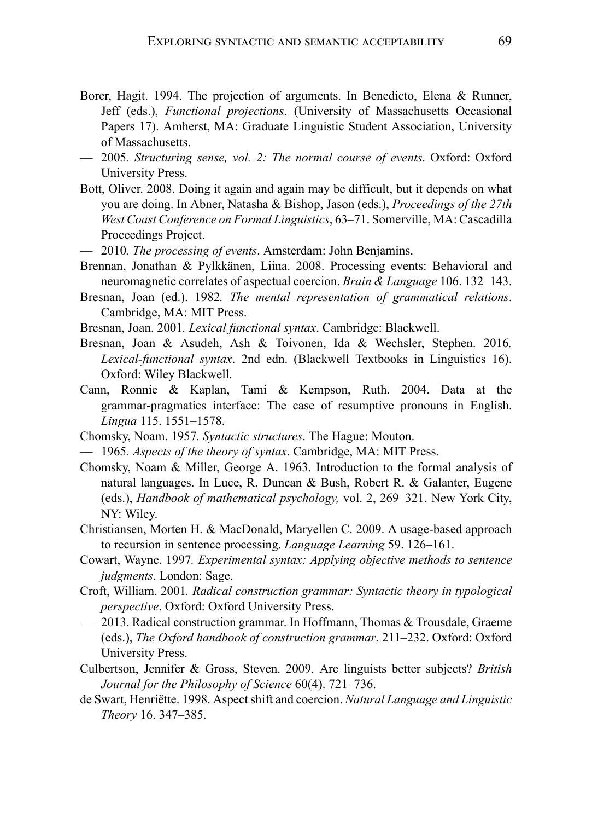- Borer, Hagit. 1994. The projection of arguments. In Benedicto, Elena & Runner, Jeff (eds.), *Functional projections*. (University of Massachusetts Occasional Papers 17). Amherst, MA: Graduate Linguistic Student Association, University of Massachusetts.
- 2005*. Structuring sense, vol. 2: The normal course of events*. Oxford: Oxford University Press.
- Bott, Oliver. 2008. Doing it again and again may be difficult, but it depends on what you are doing. In Abner, Natasha & Bishop, Jason (eds.), *Proceedings of the 27th West Coast Conference on Formal Linguistics*, 63–71. Somerville, MA: Cascadilla Proceedings Project.
- 2010*. The processing of events*. Amsterdam: John Benjamins.
- Brennan, Jonathan & Pylkkänen, Liina. 2008. Processing events: Behavioral and neuromagnetic correlates of aspectual coercion. *Brain & Language* 106. 132–143.
- Bresnan, Joan (ed.). 1982*. The mental representation of grammatical relations*. Cambridge, MA: MIT Press.
- Bresnan, Joan. 2001*. Lexical functional syntax*. Cambridge: Blackwell.
- Bresnan, Joan & Asudeh, Ash & Toivonen, Ida & Wechsler, Stephen. 2016*. Lexical-functional syntax*. 2nd edn. (Blackwell Textbooks in Linguistics 16). Oxford: Wiley Blackwell.
- Cann, Ronnie & Kaplan, Tami & Kempson, Ruth. 2004. Data at the grammar-pragmatics interface: The case of resumptive pronouns in English. *Lingua* 115. 1551–1578.
- Chomsky, Noam. 1957*. Syntactic structures*. The Hague: Mouton.
- 1965*. Aspects of the theory of syntax*. Cambridge, MA: MIT Press.
- Chomsky, Noam & Miller, George A. 1963. Introduction to the formal analysis of natural languages. In Luce, R. Duncan & Bush, Robert R. & Galanter, Eugene (eds.), *Handbook of mathematical psychology,* vol. 2, 269–321. New York City, NY: Wiley.
- Christiansen, Morten H. & MacDonald, Maryellen C. 2009. A usage-based approach to recursion in sentence processing. *Language Learning* 59. 126–161.
- Cowart, Wayne. 1997*. Experimental syntax: Applying objective methods to sentence judgments*. London: Sage.
- Croft, William. 2001*. Radical construction grammar: Syntactic theory in typological perspective*. Oxford: Oxford University Press.
- 2013. Radical construction grammar. In Hoffmann, Thomas & Trousdale, Graeme (eds.), *The Oxford handbook of construction grammar*, 211–232. Oxford: Oxford University Press.
- Culbertson, Jennifer & Gross, Steven. 2009. Are linguists better subjects? *British Journal for the Philosophy of Science* 60(4). 721–736.
- de Swart, Henriëtte. 1998. Aspect shift and coercion. *Natural Language and Linguistic Theory* 16. 347–385.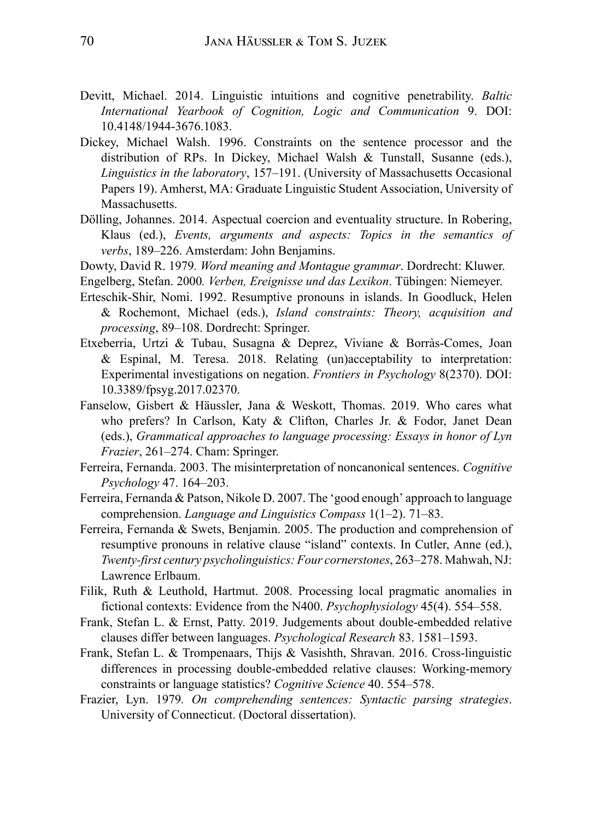- Devitt, Michael. 2014. Linguistic intuitions and cognitive penetrability. *Baltic International Yearbook of Cognition, Logic and Communication* 9. DOI: 10.4148/1944-3676.1083.
- Dickey, Michael Walsh. 1996. Constraints on the sentence processor and the distribution of RPs. In Dickey, Michael Walsh & Tunstall, Susanne (eds.), *Linguistics in the laboratory*, 157–191. (University of Massachusetts Occasional Papers 19). Amherst, MA: Graduate Linguistic Student Association, University of Massachusetts.
- Dölling, Johannes. 2014. Aspectual coercion and eventuality structure. In Robering, Klaus (ed.), *Events, arguments and aspects: Topics in the semantics of verbs*, 189–226. Amsterdam: John Benjamins.
- Dowty, David R. 1979*. Word meaning and Montague grammar*. Dordrecht: Kluwer.
- Engelberg, Stefan. 2000*. Verben, Ereignisse und das Lexikon*. Tübingen: Niemeyer.
- Erteschik-Shir, Nomi. 1992. Resumptive pronouns in islands. In Goodluck, Helen & Rochemont, Michael (eds.), *Island constraints: Theory, acquisition and processing*, 89–108. Dordrecht: Springer.
- Etxeberria, Urtzi & Tubau, Susagna & Deprez, Viviane & Borràs-Comes, Joan & Espinal, M. Teresa. 2018. Relating (un)acceptability to interpretation: Experimental investigations on negation. *Frontiers in Psychology* 8(2370). DOI: 10.3389/fpsyg.2017.02370.
- Fanselow, Gisbert & Häussler, Jana & Weskott, Thomas. 2019. Who cares what who prefers? In Carlson, Katy & Clifton, Charles Jr. & Fodor, Janet Dean (eds.), *Grammatical approaches to language processing: Essays in honor of Lyn Frazier*, 261–274. Cham: Springer.
- Ferreira, Fernanda. 2003. The misinterpretation of noncanonical sentences. *Cognitive Psychology* 47. 164–203.
- Ferreira, Fernanda & Patson, Nikole D. 2007. The 'good enough' approach to language comprehension. *Language and Linguistics Compass* 1(1–2). 71–83.
- Ferreira, Fernanda & Swets, Benjamin. 2005. The production and comprehension of resumptive pronouns in relative clause "island" contexts. In Cutler, Anne (ed.), *Twenty-first century psycholinguistics: Four cornerstones*, 263–278. Mahwah, NJ: Lawrence Erlbaum.
- Filik, Ruth & Leuthold, Hartmut. 2008. Processing local pragmatic anomalies in fictional contexts: Evidence from the N400. *Psychophysiology* 45(4). 554–558.
- Frank, Stefan L. & Ernst, Patty. 2019. Judgements about double-embedded relative clauses differ between languages. *Psychological Research* 83. 1581–1593.
- Frank, Stefan L. & Trompenaars, Thijs & Vasishth, Shravan. 2016. Cross-linguistic differences in processing double-embedded relative clauses: Working-memory constraints or language statistics? *Cognitive Science* 40. 554–578.
- Frazier, Lyn. 1979*. On comprehending sentences: Syntactic parsing strategies*. University of Connecticut. (Doctoral dissertation).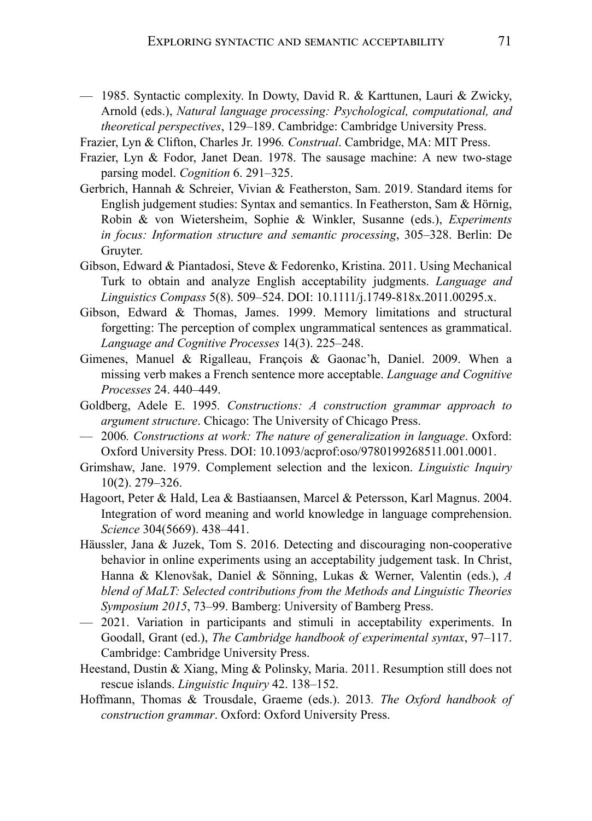- 1985. Syntactic complexity. In Dowty, David R. & Karttunen, Lauri & Zwicky, Arnold (eds.), *Natural language processing: Psychological, computational, and theoretical perspectives*, 129–189. Cambridge: Cambridge University Press.
- Frazier, Lyn & Clifton, Charles Jr. 1996*. Construal*. Cambridge, MA: MIT Press.
- Frazier, Lyn & Fodor, Janet Dean. 1978. The sausage machine: A new two-stage parsing model. *Cognition* 6. 291–325.
- Gerbrich, Hannah & Schreier, Vivian & Featherston, Sam. 2019. Standard items for English judgement studies: Syntax and semantics. In Featherston, Sam & Hörnig, Robin & von Wietersheim, Sophie & Winkler, Susanne (eds.), *Experiments in focus: Information structure and semantic processing*, 305–328. Berlin: De Gruyter.
- Gibson, Edward & Piantadosi, Steve & Fedorenko, Kristina. 2011. Using Mechanical Turk to obtain and analyze English acceptability judgments. *Language and Linguistics Compass* 5(8). 509–524. DOI: 10.1111/j.1749-818x.2011.00295.x.
- Gibson, Edward & Thomas, James. 1999. Memory limitations and structural forgetting: The perception of complex ungrammatical sentences as grammatical. *Language and Cognitive Processes* 14(3). 225–248.
- Gimenes, Manuel & Rigalleau, François & Gaonac'h, Daniel. 2009. When a missing verb makes a French sentence more acceptable. *Language and Cognitive Processes* 24. 440–449.
- Goldberg, Adele E. 1995*. Constructions: A construction grammar approach to argument structure*. Chicago: The University of Chicago Press.
- 2006*. Constructions at work: The nature of generalization in language*. Oxford: Oxford University Press. DOI: 10.1093/acprof:oso/9780199268511.001.0001.
- Grimshaw, Jane. 1979. Complement selection and the lexicon. *Linguistic Inquiry* 10(2). 279–326.
- Hagoort, Peter & Hald, Lea & Bastiaansen, Marcel & Petersson, Karl Magnus. 2004. Integration of word meaning and world knowledge in language comprehension. *Science* 304(5669). 438–441.
- Häussler, Jana & Juzek, Tom S. 2016. Detecting and discouraging non-cooperative behavior in online experiments using an acceptability judgement task. In Christ, Hanna & Klenovšak, Daniel & Sönning, Lukas & Werner, Valentin (eds.), *A blend of MaLT: Selected contributions from the Methods and Linguistic Theories Symposium 2015*, 73–99. Bamberg: University of Bamberg Press.
- 2021. Variation in participants and stimuli in acceptability experiments. In Goodall, Grant (ed.), *The Cambridge handbook of experimental syntax*, 97–117. Cambridge: Cambridge University Press.
- Heestand, Dustin & Xiang, Ming & Polinsky, Maria. 2011. Resumption still does not rescue islands. *Linguistic Inquiry* 42. 138–152.
- Hoffmann, Thomas & Trousdale, Graeme (eds.). 2013*. The Oxford handbook of construction grammar*. Oxford: Oxford University Press.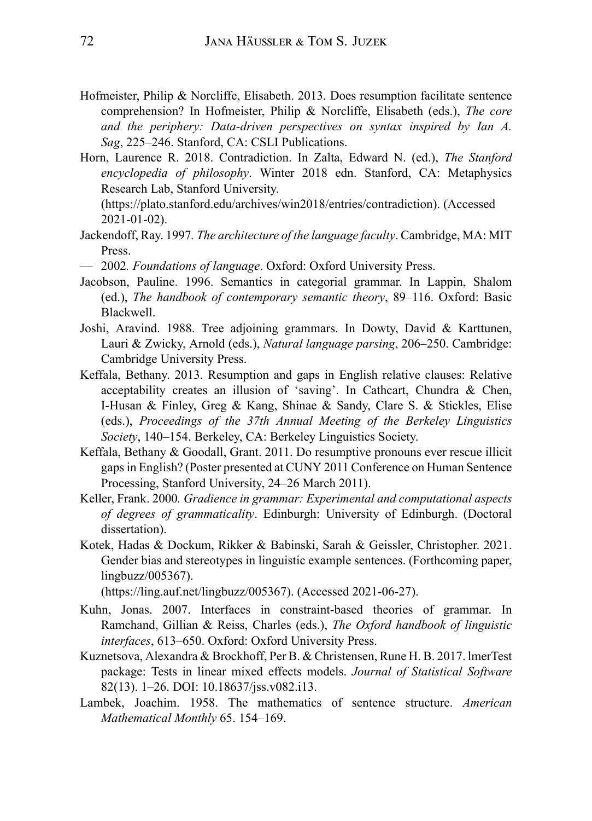- Hofmeister, Philip & Norcliffe, Elisabeth. 2013. Does resumption facilitate sentence comprehension? In Hofmeister, Philip & Norcliffe, Elisabeth (eds.), *The core and the periphery: Data-driven perspectives on syntax inspired by Ian A. Sag*, 225–246. Stanford, CA: CSLI Publications.
- Horn, Laurence R. 2018. Contradiction. In Zalta, Edward N. (ed.), *The Stanford encyclopedia of philosophy*. Winter 2018 edn. Stanford, CA: Metaphysics Research Lab, Stanford University.
	- (https://plato.stanford.edu/archives/win2018/entries/contradiction). (Accessed 2021-01-02).
- Jackendoff, Ray. 1997*. The architecture of the language faculty*. Cambridge, MA: MIT Press.
- 2002*. Foundations of language*. Oxford: Oxford University Press.
- Jacobson, Pauline. 1996. Semantics in categorial grammar. In Lappin, Shalom (ed.), *The handbook of contemporary semantic theory*, 89–116. Oxford: Basic Blackwell.
- Joshi, Aravind. 1988. Tree adjoining grammars. In Dowty, David & Karttunen, Lauri & Zwicky, Arnold (eds.), *Natural language parsing*, 206–250. Cambridge: Cambridge University Press.
- Keffala, Bethany. 2013. Resumption and gaps in English relative clauses: Relative acceptability creates an illusion of 'saving'. In Cathcart, Chundra & Chen, I-Husan & Finley, Greg & Kang, Shinae & Sandy, Clare S. & Stickles, Elise (eds.), *Proceedings of the 37th Annual Meeting of the Berkeley Linguistics Society*, 140–154. Berkeley, CA: Berkeley Linguistics Society.
- Keffala, Bethany & Goodall, Grant. 2011. Do resumptive pronouns ever rescue illicit gaps in English? (Poster presented at CUNY 2011 Conference on Human Sentence Processing, Stanford University, 24–26 March 2011).
- Keller, Frank. 2000*. Gradience in grammar: Experimental and computational aspects of degrees of grammaticality*. Edinburgh: University of Edinburgh. (Doctoral dissertation).
- Kotek, Hadas & Dockum, Rikker & Babinski, Sarah & Geissler, Christopher. 2021. Gender bias and stereotypes in linguistic example sentences. (Forthcoming paper, lingbuzz/005367).

(https://ling.auf.net/lingbuzz/005367). (Accessed 2021-06-27).

- Kuhn, Jonas. 2007. Interfaces in constraint-based theories of grammar. In Ramchand, Gillian & Reiss, Charles (eds.), *The Oxford handbook of linguistic interfaces*, 613–650. Oxford: Oxford University Press.
- Kuznetsova, Alexandra & Brockhoff, Per B. & Christensen, Rune H. B. 2017. lmerTest package: Tests in linear mixed effects models. *Journal of Statistical Software* 82(13). 1–26. DOI: 10.18637/jss.v082.i13.
- Lambek, Joachim. 1958. The mathematics of sentence structure. *American Mathematical Monthly* 65. 154–169.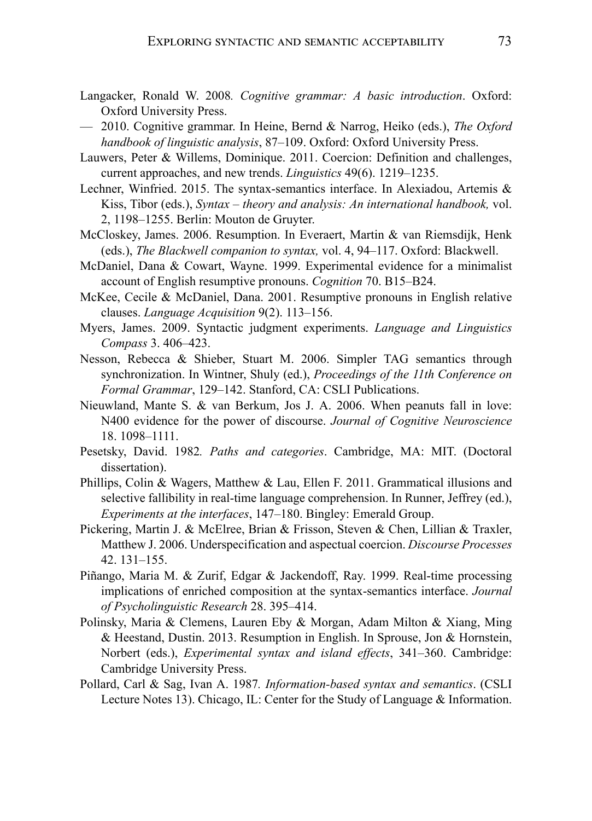- Langacker, Ronald W. 2008*. Cognitive grammar: A basic introduction*. Oxford: Oxford University Press.
- 2010. Cognitive grammar. In Heine, Bernd & Narrog, Heiko (eds.), *The Oxford handbook of linguistic analysis*, 87–109. Oxford: Oxford University Press.
- Lauwers, Peter & Willems, Dominique. 2011. Coercion: Definition and challenges, current approaches, and new trends. *Linguistics* 49(6). 1219–1235.
- Lechner, Winfried. 2015. The syntax-semantics interface. In Alexiadou, Artemis & Kiss, Tibor (eds.), *Syntax – theory and analysis: An international handbook,* vol. 2, 1198–1255. Berlin: Mouton de Gruyter.
- McCloskey, James. 2006. Resumption. In Everaert, Martin & van Riemsdijk, Henk (eds.), *The Blackwell companion to syntax,* vol. 4, 94–117. Oxford: Blackwell.
- McDaniel, Dana & Cowart, Wayne. 1999. Experimental evidence for a minimalist account of English resumptive pronouns. *Cognition* 70. B15–B24.
- McKee, Cecile & McDaniel, Dana. 2001. Resumptive pronouns in English relative clauses. *Language Acquisition* 9(2). 113–156.
- Myers, James. 2009. Syntactic judgment experiments. *Language and Linguistics Compass* 3. 406–423.
- Nesson, Rebecca & Shieber, Stuart M. 2006. Simpler TAG semantics through synchronization. In Wintner, Shuly (ed.), *Proceedings of the 11th Conference on Formal Grammar*, 129–142. Stanford, CA: CSLI Publications.
- Nieuwland, Mante S. & van Berkum, Jos J. A. 2006. When peanuts fall in love: N400 evidence for the power of discourse. *Journal of Cognitive Neuroscience* 18. 1098–1111.
- Pesetsky, David. 1982*. Paths and categories*. Cambridge, MA: MIT. (Doctoral dissertation).
- Phillips, Colin & Wagers, Matthew & Lau, Ellen F. 2011. Grammatical illusions and selective fallibility in real-time language comprehension. In Runner, Jeffrey (ed.), *Experiments at the interfaces*, 147–180. Bingley: Emerald Group.
- Pickering, Martin J. & McElree, Brian & Frisson, Steven & Chen, Lillian & Traxler, Matthew J. 2006. Underspecification and aspectual coercion. *Discourse Processes* 42. 131–155.
- Piñango, Maria M. & Zurif, Edgar & Jackendoff, Ray. 1999. Real-time processing implications of enriched composition at the syntax-semantics interface. *Journal of Psycholinguistic Research* 28. 395–414.
- Polinsky, Maria & Clemens, Lauren Eby & Morgan, Adam Milton & Xiang, Ming & Heestand, Dustin. 2013. Resumption in English. In Sprouse, Jon & Hornstein, Norbert (eds.), *Experimental syntax and island effects*, 341–360. Cambridge: Cambridge University Press.
- Pollard, Carl & Sag, Ivan A. 1987*. Information-based syntax and semantics*. (CSLI Lecture Notes 13). Chicago, IL: Center for the Study of Language & Information.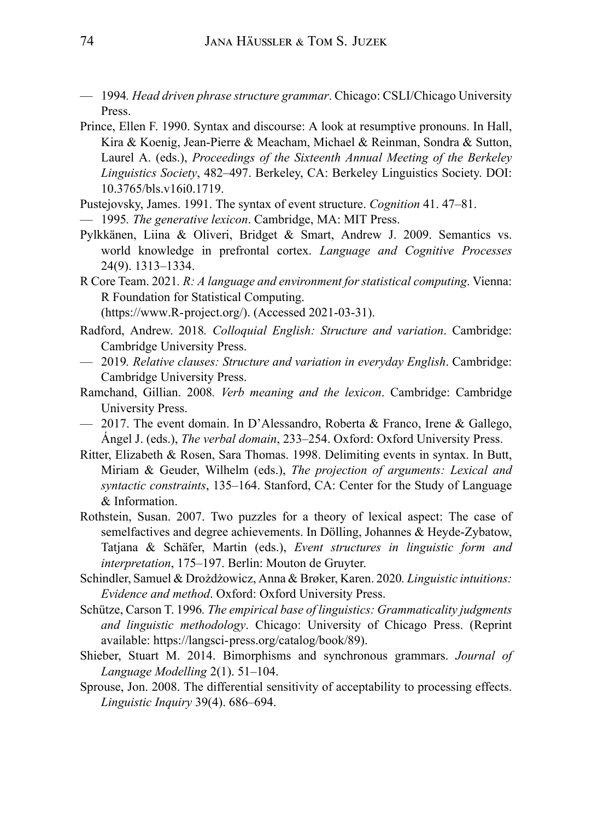- 1994*. Head driven phrase structure grammar*. Chicago: CSLI/Chicago University Press.
- Prince, Ellen F. 1990. Syntax and discourse: A look at resumptive pronouns. In Hall, Kira & Koenig, Jean-Pierre & Meacham, Michael & Reinman, Sondra & Sutton, Laurel A. (eds.), *Proceedings of the Sixteenth Annual Meeting of the Berkeley Linguistics Society*, 482–497. Berkeley, CA: Berkeley Linguistics Society. DOI: 10.3765/bls.v16i0.1719.
- Pustejovsky, James. 1991. The syntax of event structure. *Cognition* 41. 47–81.
- 1995*. The generative lexicon*. Cambridge, MA: MIT Press.
- Pylkkänen, Liina & Oliveri, Bridget & Smart, Andrew J. 2009. Semantics vs. world knowledge in prefrontal cortex. *Language and Cognitive Processes* 24(9). 1313–1334.
- R Core Team. 2021*. R: A language and environment for statistical computing*. Vienna: R Foundation for Statistical Computing.

(https://www.R-project.org/). (Accessed 2021-03-31).

- Radford, Andrew. 2018*. Colloquial English: Structure and variation*. Cambridge: Cambridge University Press.
- 2019*. Relative clauses: Structure and variation in everyday English*. Cambridge: Cambridge University Press.
- Ramchand, Gillian. 2008*. Verb meaning and the lexicon*. Cambridge: Cambridge University Press.
- $-$  2017. The event domain. In D'Alessandro, Roberta & Franco, Irene & Gallego, Ángel J. (eds.), *The verbal domain*, 233–254. Oxford: Oxford University Press.
- Ritter, Elizabeth & Rosen, Sara Thomas. 1998. Delimiting events in syntax. In Butt, Miriam & Geuder, Wilhelm (eds.), *The projection of arguments: Lexical and syntactic constraints*, 135–164. Stanford, CA: Center for the Study of Language & Information.
- Rothstein, Susan. 2007. Two puzzles for a theory of lexical aspect: The case of semelfactives and degree achievements. In Dölling, Johannes & Heyde-Zybatow, Tatjana & Schäfer, Martin (eds.), *Event structures in linguistic form and interpretation*, 175–197. Berlin: Mouton de Gruyter.
- Schindler, Samuel & Drożdżowicz, Anna & Brøker, Karen. 2020*. Linguistic intuitions: Evidence and method*. Oxford: Oxford University Press.
- Schütze, Carson T. 1996*. The empirical base of linguistics: Grammaticality judgments and linguistic methodology*. Chicago: University of Chicago Press. (Reprint available: https://langsci-press.org/catalog/book/89).
- Shieber, Stuart M. 2014. Bimorphisms and synchronous grammars. *Journal of Language Modelling* 2(1). 51–104.
- Sprouse, Jon. 2008. The differential sensitivity of acceptability to processing effects. *Linguistic Inquiry* 39(4). 686–694.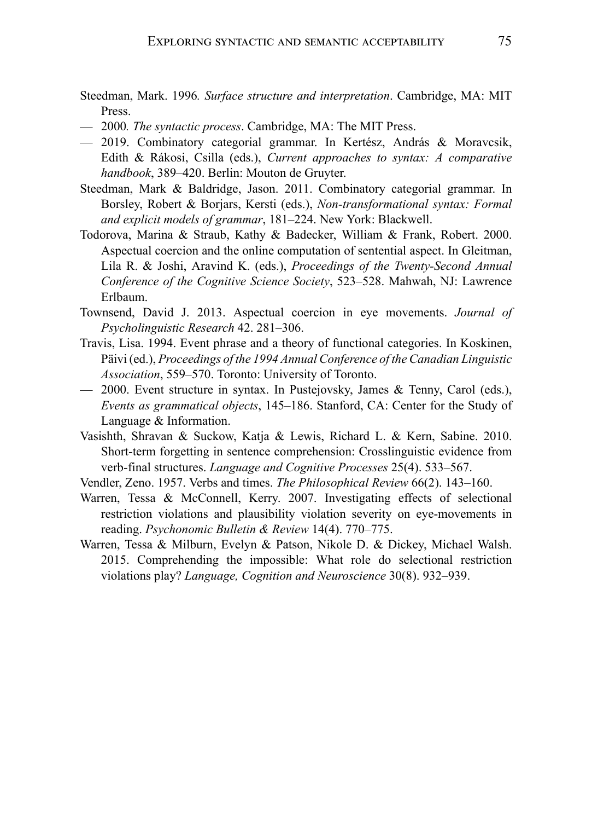- Steedman, Mark. 1996*. Surface structure and interpretation*. Cambridge, MA: MIT Press.
- 2000*. The syntactic process*. Cambridge, MA: The MIT Press.
- 2019. Combinatory categorial grammar. In Kertész, András & Moravcsik, Edith & Rákosi, Csilla (eds.), *Current approaches to syntax: A comparative handbook*, 389–420. Berlin: Mouton de Gruyter.
- Steedman, Mark & Baldridge, Jason. 2011. Combinatory categorial grammar. In Borsley, Robert & Borjars, Kersti (eds.), *Non-transformational syntax: Formal and explicit models of grammar*, 181–224. New York: Blackwell.
- Todorova, Marina & Straub, Kathy & Badecker, William & Frank, Robert. 2000. Aspectual coercion and the online computation of sentential aspect. In Gleitman, Lila R. & Joshi, Aravind K. (eds.), *Proceedings of the Twenty-Second Annual Conference of the Cognitive Science Society*, 523–528. Mahwah, NJ: Lawrence Erlbaum.
- Townsend, David J. 2013. Aspectual coercion in eye movements. *Journal of Psycholinguistic Research* 42. 281–306.
- Travis, Lisa. 1994. Event phrase and a theory of functional categories. In Koskinen, Päivi (ed.), *Proceedings of the 1994 Annual Conference of the Canadian Linguistic Association*, 559–570. Toronto: University of Toronto.
- $-$  2000. Event structure in syntax. In Pustejovsky, James & Tenny, Carol (eds.), *Events as grammatical objects*, 145–186. Stanford, CA: Center for the Study of Language & Information.
- Vasishth, Shravan & Suckow, Katja & Lewis, Richard L. & Kern, Sabine. 2010. Short-term forgetting in sentence comprehension: Crosslinguistic evidence from verb-final structures. *Language and Cognitive Processes* 25(4). 533–567.
- Vendler, Zeno. 1957. Verbs and times. *The Philosophical Review* 66(2). 143–160.
- Warren, Tessa & McConnell, Kerry. 2007. Investigating effects of selectional restriction violations and plausibility violation severity on eye-movements in reading. *Psychonomic Bulletin & Review* 14(4). 770–775.
- Warren, Tessa & Milburn, Evelyn & Patson, Nikole D. & Dickey, Michael Walsh. 2015. Comprehending the impossible: What role do selectional restriction violations play? *Language, Cognition and Neuroscience* 30(8). 932–939.